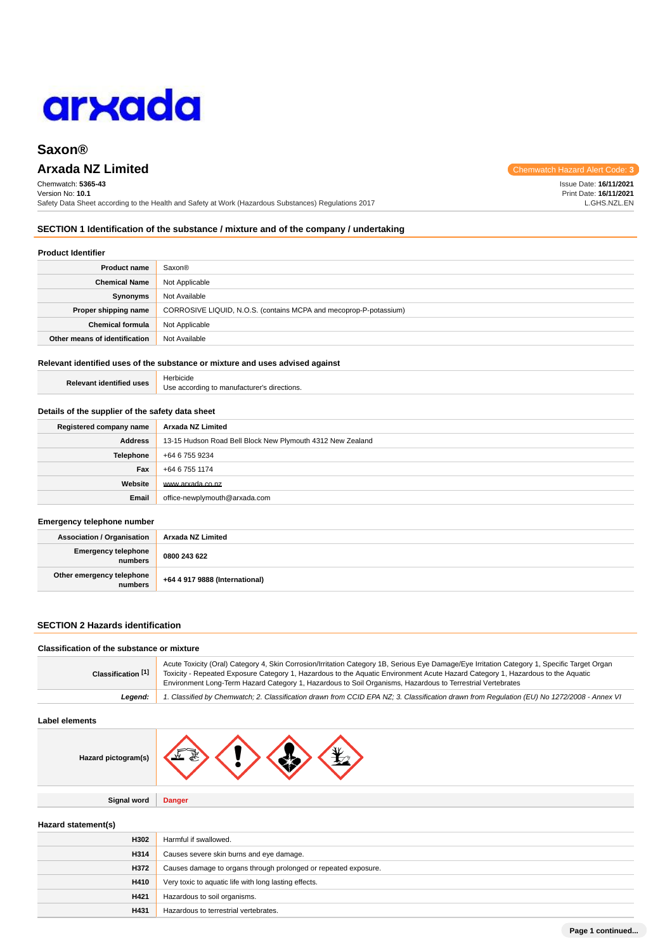

# **Arxada NZ Limited** Chemwatch Hazard Alert Code: **3**

Chemwatch: **5365-43** Version No: **10.1** Safety Data Sheet according to the Health and Safety at Work (Hazardous Substances) Regulations 2017 Issue Date: **16/11/2021**

Print Date: **16/11/2021** L.GHS.NZL.EN

## **SECTION 1 Identification of the substance / mixture and of the company / undertaking**

#### **Product Identifier**

| <b>Product name</b>           | Saxon®                                                            |
|-------------------------------|-------------------------------------------------------------------|
| <b>Chemical Name</b>          | Not Applicable                                                    |
| <b>Synonyms</b>               | Not Available                                                     |
| Proper shipping name          | CORROSIVE LIQUID, N.O.S. (contains MCPA and mecoprop-P-potassium) |
| <b>Chemical formula</b>       | Not Applicable                                                    |
| Other means of identification | Not Available                                                     |

## **Relevant identified uses of the substance or mixture and uses advised against**

| <b>Relevant identified uses</b> | Herbicide                                   |
|---------------------------------|---------------------------------------------|
|                                 | Use according to manufacturer's directions. |

#### **Details of the supplier of the safety data sheet**

| Registered company name | Arxada NZ Limited                                          |
|-------------------------|------------------------------------------------------------|
| Address                 | 13-15 Hudson Road Bell Block New Plymouth 4312 New Zealand |
| <b>Telephone</b>        | +64 6 755 9234                                             |
| Fax                     | +64 6 755 1174                                             |
| Website                 | www.arxada.co.nz                                           |
| Email                   | office-newplymouth@arxada.com                              |

#### **Emergency telephone number**

| <b>Association / Organisation</b>    | Arxada NZ Limited              |
|--------------------------------------|--------------------------------|
| Emergency telephone<br>numbers       | 0800 243 622                   |
| Other emergency telephone<br>numbers | +64 4 917 9888 (International) |

### **SECTION 2 Hazards identification**

#### **Classification of the substance or mixture**

| Classification [1] | Acute Toxicity (Oral) Category 4, Skin Corrosion/Irritation Category 1B, Serious Eye Damage/Eye Irritation Category 1, Specific Target Organ<br>Toxicity - Repeated Exposure Category 1, Hazardous to the Aquatic Environment Acute Hazard Category 1, Hazardous to the Aquatic<br>Environment Long-Term Hazard Category 1, Hazardous to Soil Organisms, Hazardous to Terrestrial Vertebrates |
|--------------------|-----------------------------------------------------------------------------------------------------------------------------------------------------------------------------------------------------------------------------------------------------------------------------------------------------------------------------------------------------------------------------------------------|
| Leaend:            | 1. Classified by Chemwatch; 2. Classification drawn from CCID EPA NZ; 3. Classification drawn from Requlation (EU) No 1272/2008 - Annex VI                                                                                                                                                                                                                                                    |

#### **Label elements**

| Hazard pictogram(s) | W<br>÷ |  |  |  |
|---------------------|--------|--|--|--|
|---------------------|--------|--|--|--|

**Signal word Danger**

### **Hazard statement(s)**

| H302 | Harmful if swallowed.                                           |
|------|-----------------------------------------------------------------|
| H314 | Causes severe skin burns and eye damage.                        |
| H372 | Causes damage to organs through prolonged or repeated exposure. |
| H410 | Very toxic to aquatic life with long lasting effects.           |
| H421 | Hazardous to soil organisms.                                    |
| H431 | Hazardous to terrestrial vertebrates.                           |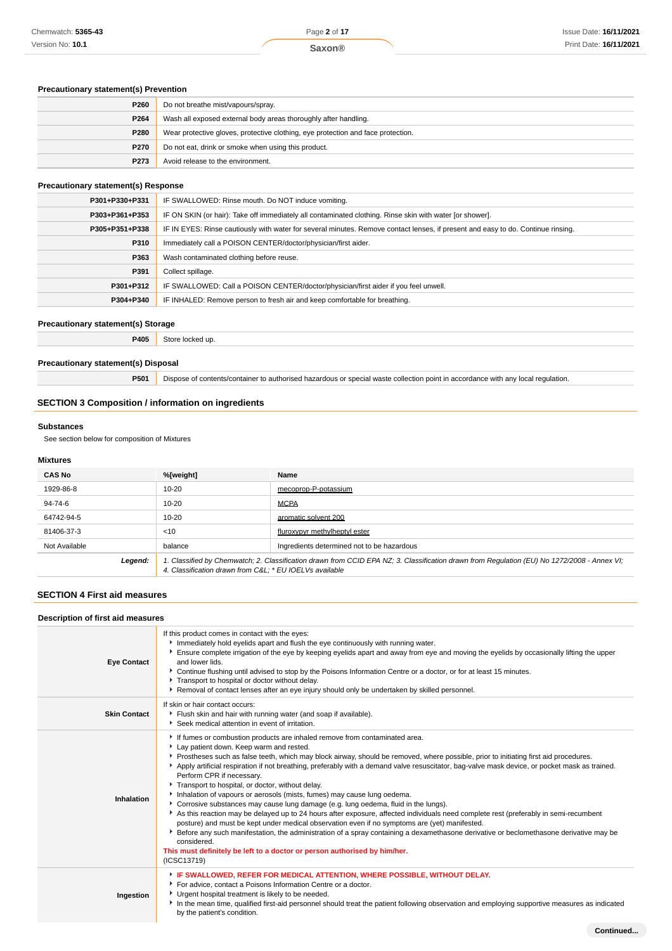## **Precautionary statement(s) Prevention**

| P260 | Do not breathe mist/vapours/spray.                                               |
|------|----------------------------------------------------------------------------------|
| P264 | Wash all exposed external body areas thoroughly after handling.                  |
| P280 | Wear protective gloves, protective clothing, eye protection and face protection. |
| P270 | Do not eat, drink or smoke when using this product.                              |
| P273 | Avoid release to the environment.                                                |

## **Precautionary statement(s) Response**

| P301+P330+P331 | IF SWALLOWED: Rinse mouth. Do NOT induce vomiting.                                                                               |
|----------------|----------------------------------------------------------------------------------------------------------------------------------|
| P303+P361+P353 | IF ON SKIN (or hair): Take off immediately all contaminated clothing. Rinse skin with water [or shower].                         |
| P305+P351+P338 | IF IN EYES: Rinse cautiously with water for several minutes. Remove contact lenses, if present and easy to do. Continue rinsing. |
| P310           | Immediately call a POISON CENTER/doctor/physician/first aider.                                                                   |
| P363           | Wash contaminated clothing before reuse.                                                                                         |
| P391           | Collect spillage.                                                                                                                |
| P301+P312      | IF SWALLOWED: Call a POISON CENTER/doctor/physician/first aider if you feel unwell.                                              |
| P304+P340      | IF INHALED: Remove person to fresh air and keep comfortable for breathing.                                                       |

### **Precautionary statement(s) Storage**

**P405** Store locked up.

## **Precautionary statement(s) Disposal**

**P501** Dispose of contents/container to authorised hazardous or special waste collection point in accordance with any local regulation.

# **SECTION 3 Composition / information on ingredients**

### **Substances**

See section below for composition of Mixtures

# **Mixtures**

| <b>CAS No</b> | %[weight]                                                                                                                                                                                             | Name                                       |  |
|---------------|-------------------------------------------------------------------------------------------------------------------------------------------------------------------------------------------------------|--------------------------------------------|--|
| 1929-86-8     | $10 - 20$                                                                                                                                                                                             | mecoprop-P-potassium                       |  |
| 94-74-6       | $10 - 20$                                                                                                                                                                                             | <b>MCPA</b>                                |  |
| 64742-94-5    | $10 - 20$                                                                                                                                                                                             | aromatic solvent 200                       |  |
| 81406-37-3    | < 10                                                                                                                                                                                                  | fluroxypyr methylheptyl ester              |  |
| Not Available | balance                                                                                                                                                                                               | Ingredients determined not to be hazardous |  |
| Legend:       | 1. Classified by Chemwatch; 2. Classification drawn from CCID EPA NZ; 3. Classification drawn from Regulation (EU) No 1272/2008 - Annex VI;<br>4. Classification drawn from C&L * EU IOELVs available |                                            |  |

## **SECTION 4 First aid measures**

### **Description of first aid measures**

| Description or hist ald measures |                                                                                                                                                                                                                                                                                                                                                                                                                                                                                                                                                                                                                                                                                                                                                                                                                                                                                                                                                                                                                                                                                                                                                                  |  |  |
|----------------------------------|------------------------------------------------------------------------------------------------------------------------------------------------------------------------------------------------------------------------------------------------------------------------------------------------------------------------------------------------------------------------------------------------------------------------------------------------------------------------------------------------------------------------------------------------------------------------------------------------------------------------------------------------------------------------------------------------------------------------------------------------------------------------------------------------------------------------------------------------------------------------------------------------------------------------------------------------------------------------------------------------------------------------------------------------------------------------------------------------------------------------------------------------------------------|--|--|
| <b>Eye Contact</b>               | If this product comes in contact with the eyes:<br>Immediately hold eyelids apart and flush the eye continuously with running water.<br>Ensure complete irrigation of the eye by keeping eyelids apart and away from eye and moving the eyelids by occasionally lifting the upper<br>and lower lids.<br>▶ Continue flushing until advised to stop by the Poisons Information Centre or a doctor, or for at least 15 minutes.<br>Transport to hospital or doctor without delay.<br>▶ Removal of contact lenses after an eye injury should only be undertaken by skilled personnel.                                                                                                                                                                                                                                                                                                                                                                                                                                                                                                                                                                                |  |  |
| <b>Skin Contact</b>              | If skin or hair contact occurs:<br>Filush skin and hair with running water (and soap if available).<br>Seek medical attention in event of irritation.                                                                                                                                                                                                                                                                                                                                                                                                                                                                                                                                                                                                                                                                                                                                                                                                                                                                                                                                                                                                            |  |  |
| Inhalation                       | If fumes or combustion products are inhaled remove from contaminated area.<br>Lay patient down. Keep warm and rested.<br>▶ Prostheses such as false teeth, which may block airway, should be removed, where possible, prior to initiating first aid procedures.<br>Apply artificial respiration if not breathing, preferably with a demand valve resuscitator, bag-valve mask device, or pocket mask as trained.<br>Perform CPR if necessary.<br>Transport to hospital, or doctor, without delay.<br>Inhalation of vapours or aerosols (mists, fumes) may cause lung oedema.<br>Corrosive substances may cause lung damage (e.g. lung oedema, fluid in the lungs).<br>As this reaction may be delayed up to 24 hours after exposure, affected individuals need complete rest (preferably in semi-recumbent<br>posture) and must be kept under medical observation even if no symptoms are (yet) manifested.<br>Before any such manifestation, the administration of a spray containing a dexamethasone derivative or beclomethasone derivative may be<br>considered.<br>This must definitely be left to a doctor or person authorised by him/her.<br>(ICSC13719) |  |  |
| Ingestion                        | F IF SWALLOWED, REFER FOR MEDICAL ATTENTION, WHERE POSSIBLE, WITHOUT DELAY.<br>For advice, contact a Poisons Information Centre or a doctor.<br>Urgent hospital treatment is likely to be needed.<br>In the mean time, qualified first-aid personnel should treat the patient following observation and employing supportive measures as indicated<br>by the patient's condition.                                                                                                                                                                                                                                                                                                                                                                                                                                                                                                                                                                                                                                                                                                                                                                                |  |  |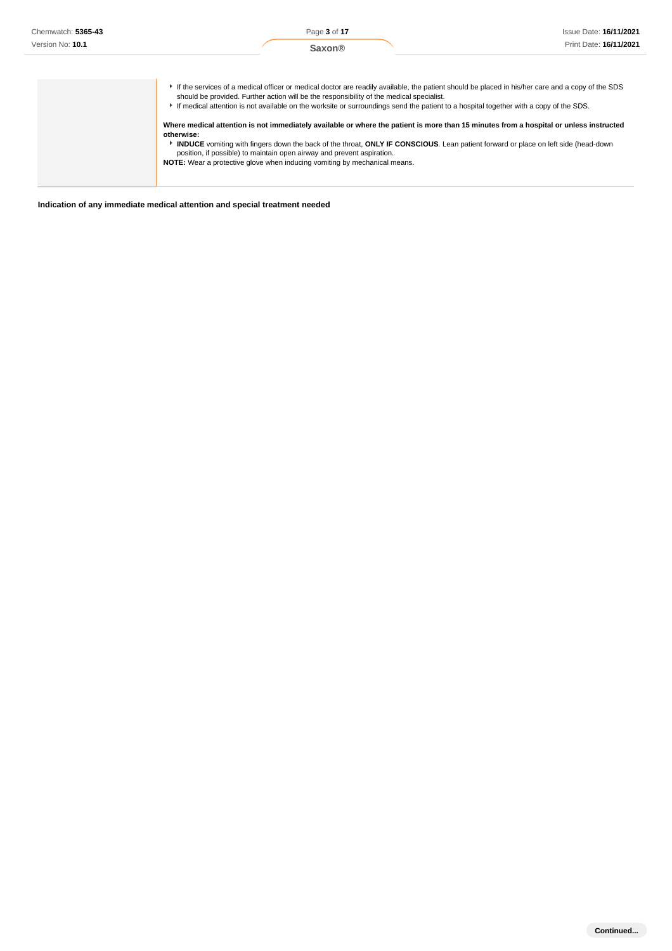| Chemwatch: 5365-43 | Page 3 of 17                                                                                                                                                                                                                                                                                                                                                                                                                                                                                                                                                                                                                                                                                                                                                                                                                                      | <b>Issue Date: 16/11/2021</b> |
|--------------------|---------------------------------------------------------------------------------------------------------------------------------------------------------------------------------------------------------------------------------------------------------------------------------------------------------------------------------------------------------------------------------------------------------------------------------------------------------------------------------------------------------------------------------------------------------------------------------------------------------------------------------------------------------------------------------------------------------------------------------------------------------------------------------------------------------------------------------------------------|-------------------------------|
| Version No: 10.1   | <b>Saxon®</b>                                                                                                                                                                                                                                                                                                                                                                                                                                                                                                                                                                                                                                                                                                                                                                                                                                     | Print Date: 16/11/2021        |
|                    | If the services of a medical officer or medical doctor are readily available, the patient should be placed in his/her care and a copy of the SDS<br>should be provided. Further action will be the responsibility of the medical specialist.<br>If medical attention is not available on the worksite or surroundings send the patient to a hospital together with a copy of the SDS.<br>Where medical attention is not immediately available or where the patient is more than 15 minutes from a hospital or unless instructed<br>otherwise:<br>INDUCE vomiting with fingers down the back of the throat, ONLY IF CONSCIOUS. Lean patient forward or place on left side (head-down<br>position, if possible) to maintain open airway and prevent aspiration.<br><b>NOTE:</b> Wear a protective glove when inducing vomiting by mechanical means. |                               |

**Indication of any immediate medical attention and special treatment needed**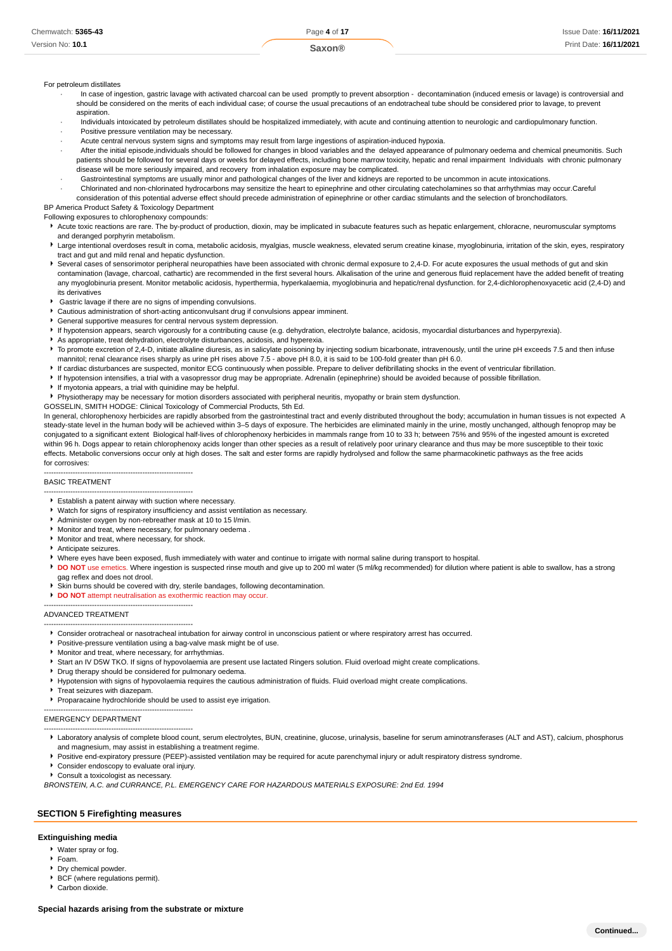### For petroleum distillates

- In case of ingestion, gastric lavage with activated charcoal can be used promptly to prevent absorption decontamination (induced emesis or lavage) is controversial and should be considered on the merits of each individual case; of course the usual precautions of an endotracheal tube should be considered prior to lavage, to prevent aspiration.
- · Individuals intoxicated by petroleum distillates should be hospitalized immediately, with acute and continuing attention to neurologic and cardiopulmonary function.
- Positive pressure ventilation may be necessary.
- Acute central nervous system signs and symptoms may result from large ingestions of aspiration-induced hypoxia.
- After the initial episode,individuals should be followed for changes in blood variables and the delayed appearance of pulmonary oedema and chemical pneumonitis. Such patients should be followed for several days or weeks for delayed effects, including bone marrow toxicity, hepatic and renal impairment Individuals with chronic pulmonary disease will be more seriously impaired, and recovery from inhalation exposure may be complicated.
- · Gastrointestinal symptoms are usually minor and pathological changes of the liver and kidneys are reported to be uncommon in acute intoxications.

· Chlorinated and non-chlorinated hydrocarbons may sensitize the heart to epinephrine and other circulating catecholamines so that arrhythmias may occur.Careful consideration of this potential adverse effect should precede administration of epinephrine or other cardiac stimulants and the selection of bronchodilators.

BP America Product Safety & Toxicology Department

Following exposures to chlorophenoxy compounds:

- Acute toxic reactions are rare. The by-product of production, dioxin, may be implicated in subacute features such as hepatic enlargement, chloracne, neuromuscular symptoms and deranged porphyrin metabolism.
- Large intentional overdoses result in coma, metabolic acidosis, myalgias, muscle weakness, elevated serum creatine kinase, myoglobinuria, irritation of the skin, eyes, respiratory tract and gut and mild renal and hepatic dysfunction.
- ▶ Several cases of sensorimotor peripheral neuropathies have been associated with chronic dermal exposure to 2,4-D. For acute exposures the usual methods of gut and skin contamination (lavage, charcoal, cathartic) are recommended in the first several hours. Alkalisation of the urine and generous fluid replacement have the added benefit of treating any myoglobinuria present. Monitor metabolic acidosis, hyperthermia, hyperkalaemia, myoglobinuria and hepatic/renal dysfunction. for 2,4-dichlorophenoxyacetic acid (2,4-D) and its derivatives
- Gastric lavage if there are no signs of impending convulsions.
- Cautious administration of short-acting anticonvulsant drug if convulsions appear imminent.
- General supportive measures for central nervous system depression.
- If hypotension appears, search vigorously for a contributing cause (e.g. dehydration, electrolyte balance, acidosis, myocardial disturbances and hyperpyrexia).
- As appropriate, treat dehydration, electrolyte disturbances, acidosis, and hyperexia.
- To promote excretion of 2,4-D, initiate alkaline diuresis, as in salicylate poisoning by injecting sodium bicarbonate, intravenously, until the urine pH exceeds 7.5 and then infuse mannitol; renal clearance rises sharply as urine pH rises above 7.5 - above pH 8.0, it is said to be 100-fold greater than pH 6.0.
- If cardiac disturbances are suspected, monitor ECG continuously when possible. Prepare to deliver defibrillating shocks in the event of ventricular fibrillation.
- If hypotension intensifies, a trial with a vasopressor drug may be appropriate. Adrenalin (epinephrine) should be avoided because of possible fibrillation.
- If myotonia appears, a trial with quinidine may be helpful.
- Physiotherapy may be necessary for motion disorders associated with peripheral neuritis, myopathy or brain stem dysfunction.
- GOSSELIN, SMITH HODGE: Clinical Toxicology of Commercial Products, 5th Ed.

In general, chlorophenoxy herbicides are rapidly absorbed from the gastrointestinal tract and evenly distributed throughout the body; accumulation in human tissues is not expected A steady-state level in the human body will be achieved within 3–5 days of exposure. The herbicides are eliminated mainly in the urine, mostly unchanged, although fenoprop may be conjugated to a significant extent Biological half-lives of chlorophenoxy herbicides in mammals range from 10 to 33 h; between 75% and 95% of the ingested amount is excreted within 96 h. Dogs appear to retain chlorophenoxy acids longer than other species as a result of relatively poor urinary clearance and thus may be more susceptible to their toxic effects. Metabolic conversions occur only at high doses. The salt and ester forms are rapidly hydrolysed and follow the same pharmacokinetic pathways as the free acids for corrosives:

#### BASIC TREATMENT

- -------------------------------------------------------------- Establish a patent airway with suction where necessary.
- Watch for signs of respiratory insufficiency and assist ventilation as necessary.
- Administer oxygen by non-rebreather mask at 10 to 15 l/min.
- Monitor and treat, where necessary, for pulmonary oedema .
- Monitor and treat, where necessary, for shock.

--------------------------------------------------------------

- Anticipate seizures.
- Where eyes have been exposed, flush immediately with water and continue to irrigate with normal saline during transport to hospital.
- **DO NOT** use emetics. Where ingestion is suspected rinse mouth and give up to 200 ml water (5 ml/kg recommended) for dilution where patient is able to swallow, has a strong
- gag reflex and does not drool.
- Skin burns should be covered with dry, sterile bandages, following decontamination.
- **DO NOT** attempt neutralisation as exothermic reaction may occur.

-------------------------------------------------------------- ADVANCED TREATMENT

- -------------------------------------------------------------- Consider orotracheal or nasotracheal intubation for airway control in unconscious patient or where respiratory arrest has occurred.
- **Positive-pressure ventilation using a bag-valve mask might be of use.**
- Monitor and treat, where necessary, for arrhythmias.
- Start an IV D5W TKO. If signs of hypovolaemia are present use lactated Ringers solution. Fluid overload might create complications.
- **P** Drug therapy should be considered for pulmonary oedema. Hypotension with signs of hypovolaemia requires the cautious administration of fluids. Fluid overload might create complications.
- Treat seizures with diazepam
- Proparacaine hydrochloride should be used to assist eye irrigation.

#### EMERGENCY DEPARTMENT

- -------------------------------------------------------------- Laboratory analysis of complete blood count, serum electrolytes, BUN, creatinine, glucose, urinalysis, baseline for serum aminotransferases (ALT and AST), calcium, phosphorus and magnesium, may assist in establishing a treatment regime.
- Positive end-expiratory pressure (PEEP)-assisted ventilation may be required for acute parenchymal injury or adult respiratory distress syndrome.
- Consider endoscopy to evaluate oral injury.

--------------------------------------------------------------

Consult a toxicologist as necessary.

BRONSTEIN, A.C. and CURRANCE, P.L. EMERGENCY CARE FOR HAZARDOUS MATERIALS EXPOSURE: 2nd Ed. 1994

#### **SECTION 5 Firefighting measures**

#### **Extinguishing media**

- Water spray or fog.
- Foam.
- Dry chemical powder. **BCF** (where regulations permit).
- Carbon dioxide.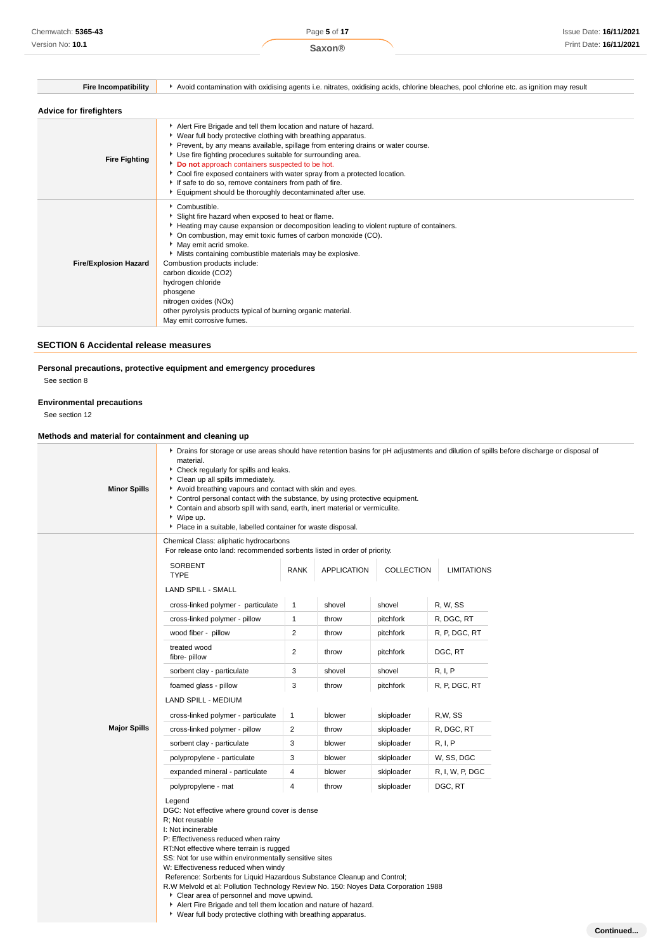| <b>Fire Incompatibility</b>    | Avoid contamination with oxidising agents i.e. nitrates, oxidising acids, chlorine bleaches, pool chlorine etc. as ignition may result                                                                                                                                                                                                                                                                                                                                                                                                     |  |  |
|--------------------------------|--------------------------------------------------------------------------------------------------------------------------------------------------------------------------------------------------------------------------------------------------------------------------------------------------------------------------------------------------------------------------------------------------------------------------------------------------------------------------------------------------------------------------------------------|--|--|
| <b>Advice for firefighters</b> |                                                                                                                                                                                                                                                                                                                                                                                                                                                                                                                                            |  |  |
| <b>Fire Fighting</b>           | Alert Fire Brigade and tell them location and nature of hazard.<br>▶ Wear full body protective clothing with breathing apparatus.<br>Prevent, by any means available, spillage from entering drains or water course.<br>Use fire fighting procedures suitable for surrounding area.<br>Do not approach containers suspected to be hot.<br>• Cool fire exposed containers with water spray from a protected location.<br>If safe to do so, remove containers from path of fire.<br>Equipment should be thoroughly decontaminated after use. |  |  |
| <b>Fire/Explosion Hazard</b>   | Combustible.<br>Slight fire hazard when exposed to heat or flame.<br>Heating may cause expansion or decomposition leading to violent rupture of containers.<br>• On combustion, may emit toxic fumes of carbon monoxide (CO).<br>May emit acrid smoke.<br>• Mists containing combustible materials may be explosive.<br>Combustion products include:<br>carbon dioxide (CO2)<br>hydrogen chloride<br>phosgene<br>nitrogen oxides (NOx)<br>other pyrolysis products typical of burning organic material.<br>May emit corrosive fumes.       |  |  |

## **SECTION 6 Accidental release measures**

## **Personal precautions, protective equipment and emergency procedures**

See section 8

## **Environmental precautions**

See section 12

## **Methods and material for containment and cleaning up**

| <b>Minor Spills</b> | ▶ Drains for storage or use areas should have retention basins for pH adjustments and dilution of spills before discharge or disposal of<br>material.<br>• Check regularly for spills and leaks.<br>Clean up all spills immediately.<br>Avoid breathing vapours and contact with skin and eyes.<br>• Control personal contact with the substance, by using protective equipment.<br>Contain and absorb spill with sand, earth, inert material or vermiculite.<br>▶ Wipe up.<br>Place in a suitable, labelled container for waste disposal.                                                                                               |                |             |            |                    |           |
|---------------------|------------------------------------------------------------------------------------------------------------------------------------------------------------------------------------------------------------------------------------------------------------------------------------------------------------------------------------------------------------------------------------------------------------------------------------------------------------------------------------------------------------------------------------------------------------------------------------------------------------------------------------------|----------------|-------------|------------|--------------------|-----------|
|                     | Chemical Class: aliphatic hydrocarbons<br>For release onto land: recommended sorbents listed in order of priority.                                                                                                                                                                                                                                                                                                                                                                                                                                                                                                                       |                |             |            |                    |           |
|                     | SORBENT<br><b>TYPE</b>                                                                                                                                                                                                                                                                                                                                                                                                                                                                                                                                                                                                                   | <b>RANK</b>    | APPLICATION | COLLECTION | <b>LIMITATIONS</b> |           |
|                     | <b>LAND SPILL - SMALL</b>                                                                                                                                                                                                                                                                                                                                                                                                                                                                                                                                                                                                                |                |             |            |                    |           |
|                     | cross-linked polymer - particulate                                                                                                                                                                                                                                                                                                                                                                                                                                                                                                                                                                                                       | $\mathbf{1}$   | shovel      | shovel     | R, W, SS           |           |
|                     | cross-linked polymer - pillow                                                                                                                                                                                                                                                                                                                                                                                                                                                                                                                                                                                                            | $\mathbf{1}$   | throw       | pitchfork  | R, DGC, RT         |           |
|                     | wood fiber - pillow                                                                                                                                                                                                                                                                                                                                                                                                                                                                                                                                                                                                                      | $\overline{2}$ | throw       | pitchfork  | R, P, DGC, RT      |           |
|                     | treated wood<br>fibre-pillow                                                                                                                                                                                                                                                                                                                                                                                                                                                                                                                                                                                                             | $\overline{2}$ | throw       | pitchfork  | DGC, RT            |           |
|                     | sorbent clay - particulate                                                                                                                                                                                                                                                                                                                                                                                                                                                                                                                                                                                                               | 3              | shovel      | shovel     | R, I, P            |           |
|                     | foamed glass - pillow                                                                                                                                                                                                                                                                                                                                                                                                                                                                                                                                                                                                                    | 3              | throw       | pitchfork  | R, P, DGC, RT      |           |
|                     | LAND SPILL - MEDIUM                                                                                                                                                                                                                                                                                                                                                                                                                                                                                                                                                                                                                      |                |             |            |                    |           |
|                     | cross-linked polymer - particulate                                                                                                                                                                                                                                                                                                                                                                                                                                                                                                                                                                                                       | $\mathbf{1}$   | blower      | skiploader | R,W, SS            |           |
| <b>Major Spills</b> | cross-linked polymer - pillow                                                                                                                                                                                                                                                                                                                                                                                                                                                                                                                                                                                                            | $\overline{2}$ | throw       | skiploader | R, DGC, RT         |           |
|                     | sorbent clay - particulate                                                                                                                                                                                                                                                                                                                                                                                                                                                                                                                                                                                                               | 3              | blower      | skiploader | R, I, P            |           |
|                     | polypropylene - particulate                                                                                                                                                                                                                                                                                                                                                                                                                                                                                                                                                                                                              | 3              | blower      | skiploader | W, SS, DGC         |           |
|                     | expanded mineral - particulate                                                                                                                                                                                                                                                                                                                                                                                                                                                                                                                                                                                                           | $\overline{4}$ | blower      | skiploader | R, I, W, P, DGC    |           |
|                     | polypropylene - mat                                                                                                                                                                                                                                                                                                                                                                                                                                                                                                                                                                                                                      | $\overline{4}$ | throw       | skiploader | DGC, RT            |           |
|                     | Legend<br>DGC: Not effective where ground cover is dense<br>R: Not reusable<br>I: Not incinerable<br>P: Effectiveness reduced when rainy<br>RT:Not effective where terrain is rugged<br>SS: Not for use within environmentally sensitive sites<br>W: Effectiveness reduced when windy<br>Reference: Sorbents for Liquid Hazardous Substance Cleanup and Control;<br>R.W Melvold et al: Pollution Technology Review No. 150: Noyes Data Corporation 1988<br>Clear area of personnel and move upwind.<br>Alert Fire Brigade and tell them location and nature of hazard.<br>• Wear full body protective clothing with breathing apparatus. |                |             |            |                    |           |
|                     |                                                                                                                                                                                                                                                                                                                                                                                                                                                                                                                                                                                                                                          |                |             |            |                    | Continued |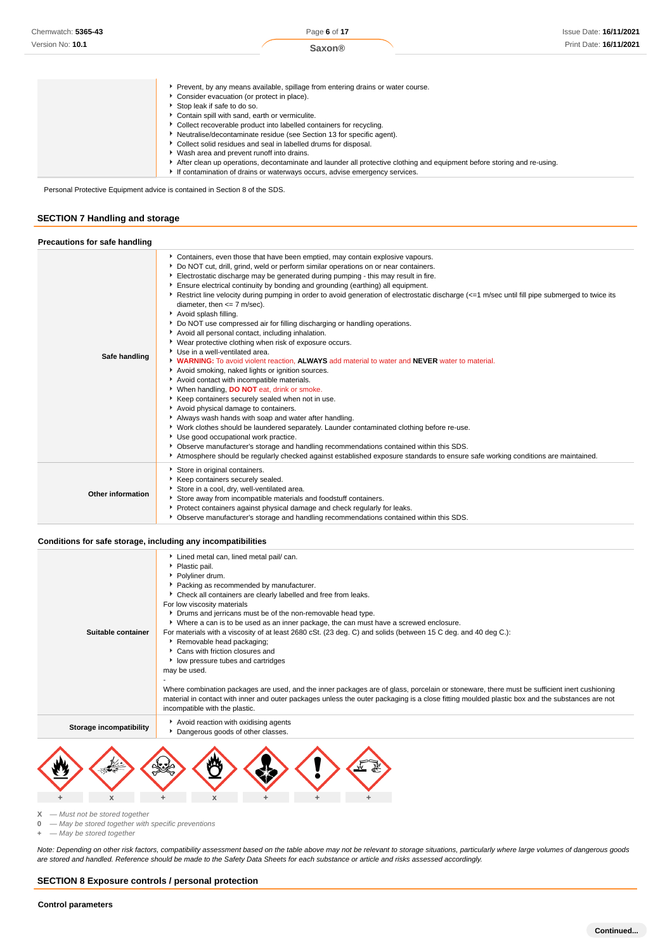| Prevent, by any means available, spillage from entering drains or water course.                                         |
|-------------------------------------------------------------------------------------------------------------------------|
| Consider evacuation (or protect in place).                                                                              |
| Stop leak if safe to do so.                                                                                             |
| Contain spill with sand, earth or vermiculite.                                                                          |
| Collect recoverable product into labelled containers for recycling.                                                     |
| Neutralise/decontaminate residue (see Section 13 for specific agent).                                                   |
| Collect solid residues and seal in labelled drums for disposal.                                                         |
| ▶ Wash area and prevent runoff into drains.                                                                             |
| After clean up operations, decontaminate and launder all protective clothing and equipment before storing and re-using. |
| If contamination of drains or waterways occurs, advise emergency services.                                              |

Personal Protective Equipment advice is contained in Section 8 of the SDS.

## **SECTION 7 Handling and storage**

| <b>Precautions for safe handling</b> |                                                                                                                                                                                                                                                                                                                                                                                                                                                                                                                                                                                                                                                                                                                                                                                                                                                                                                                                                                                                                                                                                                                                                                                                                                                                                                                                                                                                                                                                                                                                                                               |
|--------------------------------------|-------------------------------------------------------------------------------------------------------------------------------------------------------------------------------------------------------------------------------------------------------------------------------------------------------------------------------------------------------------------------------------------------------------------------------------------------------------------------------------------------------------------------------------------------------------------------------------------------------------------------------------------------------------------------------------------------------------------------------------------------------------------------------------------------------------------------------------------------------------------------------------------------------------------------------------------------------------------------------------------------------------------------------------------------------------------------------------------------------------------------------------------------------------------------------------------------------------------------------------------------------------------------------------------------------------------------------------------------------------------------------------------------------------------------------------------------------------------------------------------------------------------------------------------------------------------------------|
| Safe handling                        | Containers, even those that have been emptied, may contain explosive vapours.<br>Do NOT cut, drill, grind, weld or perform similar operations on or near containers.<br>Electrostatic discharge may be generated during pumping - this may result in fire.<br>Ensure electrical continuity by bonding and grounding (earthing) all equipment.<br>Restrict line velocity during pumping in order to avoid generation of electrostatic discharge (<=1 m/sec until fill pipe submerged to twice its<br>diameter, then $<= 7$ m/sec).<br>Avoid splash filling.<br>▶ Do NOT use compressed air for filling discharging or handling operations.<br>Avoid all personal contact, including inhalation.<br>▶ Wear protective clothing when risk of exposure occurs.<br>Use in a well-ventilated area.<br>IN WARNING: To avoid violent reaction, ALWAYS add material to water and NEVER water to material.<br>Avoid smoking, naked lights or ignition sources.<br>Avoid contact with incompatible materials.<br>When handling, DO NOT eat, drink or smoke.<br>Keep containers securely sealed when not in use.<br>Avoid physical damage to containers.<br>Always wash hands with soap and water after handling.<br>• Work clothes should be laundered separately. Launder contaminated clothing before re-use.<br>▶ Use good occupational work practice.<br>• Observe manufacturer's storage and handling recommendations contained within this SDS.<br>Atmosphere should be regularly checked against established exposure standards to ensure safe working conditions are maintained. |
| Other information                    | Store in original containers.<br>Keep containers securely sealed.<br>Store in a cool, dry, well-ventilated area.<br>Store away from incompatible materials and foodstuff containers.<br>Protect containers against physical damage and check regularly for leaks.<br>▶ Observe manufacturer's storage and handling recommendations contained within this SDS.                                                                                                                                                                                                                                                                                                                                                                                                                                                                                                                                                                                                                                                                                                                                                                                                                                                                                                                                                                                                                                                                                                                                                                                                                 |

#### **Conditions for safe storage, including any incompatibilities**

| Suitable container      | Lined metal can, lined metal pail/ can.<br>Plastic pail.<br>▶ Polvliner drum.<br>Packing as recommended by manufacturer.<br>Check all containers are clearly labelled and free from leaks.<br>For low viscosity materials<br>• Drums and jerricans must be of the non-removable head type.<br>▶ Where a can is to be used as an inner package, the can must have a screwed enclosure.<br>For materials with a viscosity of at least 2680 cSt. (23 deg. C) and solids (between 15 C deg. and 40 deg C.):<br>Removable head packaging;<br>Cans with friction closures and<br>low pressure tubes and cartridges<br>may be used.<br>Where combination packages are used, and the inner packages are of glass, porcelain or stoneware, there must be sufficient inert cushioning<br>material in contact with inner and outer packages unless the outer packaging is a close fitting moulded plastic box and the substances are not<br>incompatible with the plastic. |
|-------------------------|-----------------------------------------------------------------------------------------------------------------------------------------------------------------------------------------------------------------------------------------------------------------------------------------------------------------------------------------------------------------------------------------------------------------------------------------------------------------------------------------------------------------------------------------------------------------------------------------------------------------------------------------------------------------------------------------------------------------------------------------------------------------------------------------------------------------------------------------------------------------------------------------------------------------------------------------------------------------|
| Storage incompatibility | Avoid reaction with oxidising agents<br>Dangerous goods of other classes.                                                                                                                                                                                                                                                                                                                                                                                                                                                                                                                                                                                                                                                                                                                                                                                                                                                                                       |



 $X -$ Must not be stored together<br>0  $-$  May be stored together with

**0** — May be stored together with specific preventions

**+** — May be stored together

Note: Depending on other risk factors, compatibility assessment based on the table above may not be relevant to storage situations, particularly where large volumes of dangerous goods are stored and handled. Reference should be made to the Safety Data Sheets for each substance or article and risks assessed accordingly.

#### **SECTION 8 Exposure controls / personal protection**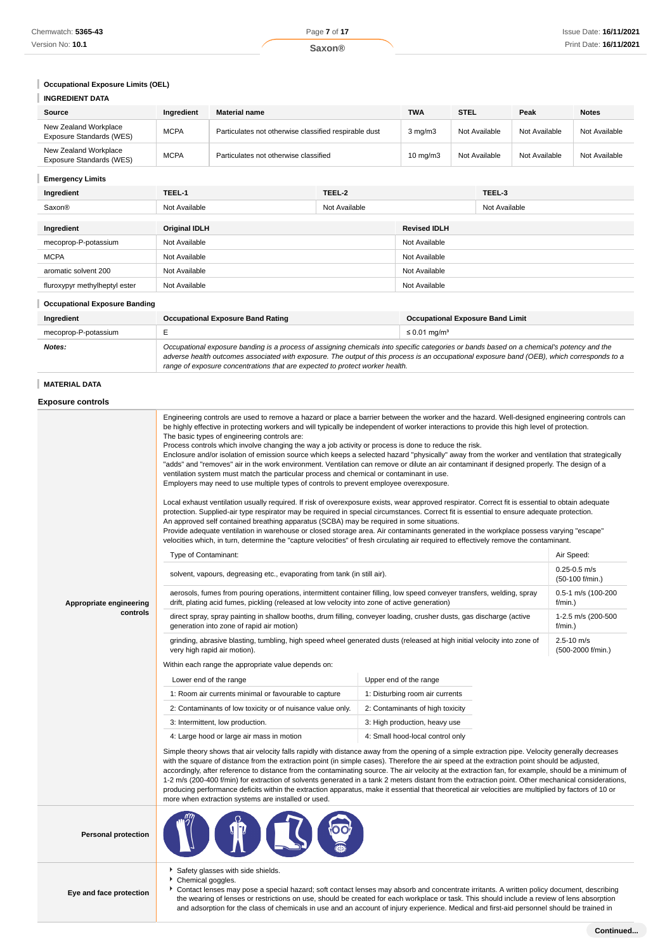# **Occupational Exposure Limits (OEL)**

| <b>INGREDIENT DATA</b>                            |             |                                                       |                   |               |               |               |
|---------------------------------------------------|-------------|-------------------------------------------------------|-------------------|---------------|---------------|---------------|
| Source                                            | Ingredient  | <b>Material name</b>                                  | <b>TWA</b>        | <b>STEL</b>   | Peak          | <b>Notes</b>  |
| New Zealand Workplace<br>Exposure Standards (WES) | <b>MCPA</b> | Particulates not otherwise classified respirable dust | $3$ mg/m $3$      | Not Available | Not Available | Not Available |
| New Zealand Workplace<br>Exposure Standards (WES) | <b>MCPA</b> | Particulates not otherwise classified                 | $10 \text{ mg/m}$ | Not Available | Not Available | Not Available |

# **Emergency Limits**

| Ingredient                    | TEEL-1               | TEEL-2        |                     | TEEL-3        |
|-------------------------------|----------------------|---------------|---------------------|---------------|
| Saxon®                        | Not Available        | Not Available |                     | Not Available |
|                               |                      |               |                     |               |
| Ingredient                    | <b>Original IDLH</b> |               | <b>Revised IDLH</b> |               |
| mecoprop-P-potassium          | Not Available        |               | Not Available       |               |
| <b>MCPA</b>                   | Not Available        |               | Not Available       |               |
| aromatic solvent 200          | Not Available        |               | Not Available       |               |
| fluroxypyr methylheptyl ester | Not Available        |               | Not Available       |               |

#### **Occupational Exposure Banding**

| Ingredient           | <b>Occupational Exposure Band Rating</b>                                                                                                                                                                                                                                                                                                                                 | <b>Occupational Exposure Band Limit</b> |  |
|----------------------|--------------------------------------------------------------------------------------------------------------------------------------------------------------------------------------------------------------------------------------------------------------------------------------------------------------------------------------------------------------------------|-----------------------------------------|--|
| mecoprop-P-potassium |                                                                                                                                                                                                                                                                                                                                                                          | $\leq 0.01$ mg/m <sup>3</sup>           |  |
| Notes:               | Occupational exposure banding is a process of assigning chemicals into specific categories or bands based on a chemical's potency and the<br>adverse health outcomes associated with exposure. The output of this process is an occupational exposure band (OEB), which corresponds to a<br>range of exposure concentrations that are expected to protect worker health. |                                         |  |

### **MATERIAL DATA**

## **Exposure controls**

|                            | Engineering controls are used to remove a hazard or place a barrier between the worker and the hazard. Well-designed engineering controls can<br>be highly effective in protecting workers and will typically be independent of worker interactions to provide this high level of protection.<br>The basic types of engineering controls are:<br>Process controls which involve changing the way a job activity or process is done to reduce the risk.<br>Enclosure and/or isolation of emission source which keeps a selected hazard "physically" away from the worker and ventilation that strategically<br>"adds" and "removes" air in the work environment. Ventilation can remove or dilute an air contaminant if designed properly. The design of a<br>ventilation system must match the particular process and chemical or contaminant in use.<br>Employers may need to use multiple types of controls to prevent employee overexposure.<br>Local exhaust ventilation usually required. If risk of overexposure exists, wear approved respirator. Correct fit is essential to obtain adequate<br>protection. Supplied-air type respirator may be required in special circumstances. Correct fit is essential to ensure adequate protection.<br>An approved self contained breathing apparatus (SCBA) may be required in some situations.<br>Provide adequate ventilation in warehouse or closed storage area. Air contaminants generated in the workplace possess varying "escape"<br>velocities which, in turn, determine the "capture velocities" of fresh circulating air required to effectively remove the contaminant. |                                     |                                     |  |  |
|----------------------------|-------------------------------------------------------------------------------------------------------------------------------------------------------------------------------------------------------------------------------------------------------------------------------------------------------------------------------------------------------------------------------------------------------------------------------------------------------------------------------------------------------------------------------------------------------------------------------------------------------------------------------------------------------------------------------------------------------------------------------------------------------------------------------------------------------------------------------------------------------------------------------------------------------------------------------------------------------------------------------------------------------------------------------------------------------------------------------------------------------------------------------------------------------------------------------------------------------------------------------------------------------------------------------------------------------------------------------------------------------------------------------------------------------------------------------------------------------------------------------------------------------------------------------------------------------------------------------------------------------------------------------------|-------------------------------------|-------------------------------------|--|--|
|                            | Type of Contaminant:                                                                                                                                                                                                                                                                                                                                                                                                                                                                                                                                                                                                                                                                                                                                                                                                                                                                                                                                                                                                                                                                                                                                                                                                                                                                                                                                                                                                                                                                                                                                                                                                                |                                     | Air Speed:                          |  |  |
|                            | solvent, vapours, degreasing etc., evaporating from tank (in still air).                                                                                                                                                                                                                                                                                                                                                                                                                                                                                                                                                                                                                                                                                                                                                                                                                                                                                                                                                                                                                                                                                                                                                                                                                                                                                                                                                                                                                                                                                                                                                            |                                     | $0.25 - 0.5$ m/s<br>(50-100 f/min.) |  |  |
| Appropriate engineering    | aerosols, fumes from pouring operations, intermittent container filling, low speed conveyer transfers, welding, spray<br>drift, plating acid fumes, pickling (released at low velocity into zone of active generation)                                                                                                                                                                                                                                                                                                                                                                                                                                                                                                                                                                                                                                                                                                                                                                                                                                                                                                                                                                                                                                                                                                                                                                                                                                                                                                                                                                                                              |                                     | 0.5-1 m/s (100-200<br>$f/min.$ )    |  |  |
| controls                   | direct spray, spray painting in shallow booths, drum filling, conveyer loading, crusher dusts, gas discharge (active<br>generation into zone of rapid air motion)                                                                                                                                                                                                                                                                                                                                                                                                                                                                                                                                                                                                                                                                                                                                                                                                                                                                                                                                                                                                                                                                                                                                                                                                                                                                                                                                                                                                                                                                   | 1-2.5 m/s (200-500<br>$f/min.$ )    |                                     |  |  |
|                            | grinding, abrasive blasting, tumbling, high speed wheel generated dusts (released at high initial velocity into zone of<br>very high rapid air motion).                                                                                                                                                                                                                                                                                                                                                                                                                                                                                                                                                                                                                                                                                                                                                                                                                                                                                                                                                                                                                                                                                                                                                                                                                                                                                                                                                                                                                                                                             | $2.5 - 10$ m/s<br>(500-2000 f/min.) |                                     |  |  |
|                            | Within each range the appropriate value depends on:                                                                                                                                                                                                                                                                                                                                                                                                                                                                                                                                                                                                                                                                                                                                                                                                                                                                                                                                                                                                                                                                                                                                                                                                                                                                                                                                                                                                                                                                                                                                                                                 |                                     |                                     |  |  |
|                            | Lower end of the range                                                                                                                                                                                                                                                                                                                                                                                                                                                                                                                                                                                                                                                                                                                                                                                                                                                                                                                                                                                                                                                                                                                                                                                                                                                                                                                                                                                                                                                                                                                                                                                                              | Upper end of the range              |                                     |  |  |
|                            | 1: Room air currents minimal or favourable to capture                                                                                                                                                                                                                                                                                                                                                                                                                                                                                                                                                                                                                                                                                                                                                                                                                                                                                                                                                                                                                                                                                                                                                                                                                                                                                                                                                                                                                                                                                                                                                                               | 1: Disturbing room air currents     |                                     |  |  |
|                            | 2: Contaminants of low toxicity or of nuisance value only.                                                                                                                                                                                                                                                                                                                                                                                                                                                                                                                                                                                                                                                                                                                                                                                                                                                                                                                                                                                                                                                                                                                                                                                                                                                                                                                                                                                                                                                                                                                                                                          | 2: Contaminants of high toxicity    |                                     |  |  |
|                            | 3: Intermittent, low production.                                                                                                                                                                                                                                                                                                                                                                                                                                                                                                                                                                                                                                                                                                                                                                                                                                                                                                                                                                                                                                                                                                                                                                                                                                                                                                                                                                                                                                                                                                                                                                                                    | 3: High production, heavy use       |                                     |  |  |
|                            | 4: Large hood or large air mass in motion                                                                                                                                                                                                                                                                                                                                                                                                                                                                                                                                                                                                                                                                                                                                                                                                                                                                                                                                                                                                                                                                                                                                                                                                                                                                                                                                                                                                                                                                                                                                                                                           | 4: Small hood-local control only    |                                     |  |  |
|                            | Simple theory shows that air velocity falls rapidly with distance away from the opening of a simple extraction pipe. Velocity generally decreases<br>with the square of distance from the extraction point (in simple cases). Therefore the air speed at the extraction point should be adjusted,<br>accordingly, after reference to distance from the contaminating source. The air velocity at the extraction fan, for example, should be a minimum of<br>1-2 m/s (200-400 f/min) for extraction of solvents generated in a tank 2 meters distant from the extraction point. Other mechanical considerations,<br>producing performance deficits within the extraction apparatus, make it essential that theoretical air velocities are multiplied by factors of 10 or<br>more when extraction systems are installed or used.                                                                                                                                                                                                                                                                                                                                                                                                                                                                                                                                                                                                                                                                                                                                                                                                      |                                     |                                     |  |  |
| <b>Personal protection</b> |                                                                                                                                                                                                                                                                                                                                                                                                                                                                                                                                                                                                                                                                                                                                                                                                                                                                                                                                                                                                                                                                                                                                                                                                                                                                                                                                                                                                                                                                                                                                                                                                                                     |                                     |                                     |  |  |
| Eye and face protection    | Safety glasses with side shields.<br>٠<br>Chemical goggles.<br>▶ Contact lenses may pose a special hazard; soft contact lenses may absorb and concentrate irritants. A written policy document, describing<br>the wearing of lenses or restrictions on use, should be created for each workplace or task. This should include a review of lens absorption                                                                                                                                                                                                                                                                                                                                                                                                                                                                                                                                                                                                                                                                                                                                                                                                                                                                                                                                                                                                                                                                                                                                                                                                                                                                           |                                     |                                     |  |  |

and adsorption for the class of chemicals in use and an account of injury experience. Medical and first-aid personnel should be trained in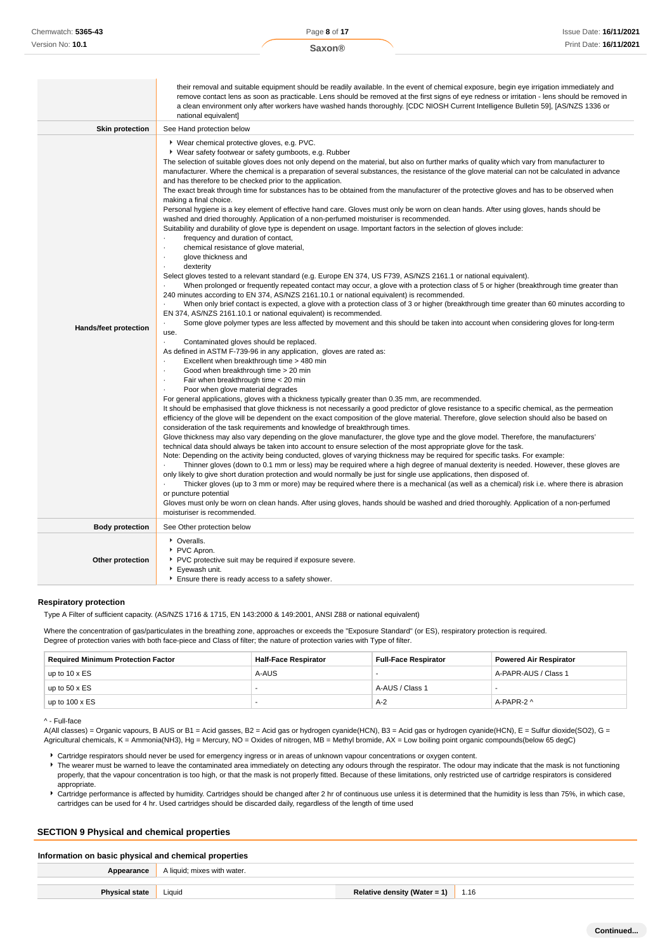|                        | their removal and suitable equipment should be readily available. In the event of chemical exposure, begin eye irrigation immediately and<br>remove contact lens as soon as practicable. Lens should be removed at the first signs of eye redness or irritation - lens should be removed in<br>a clean environment only after workers have washed hands thoroughly. [CDC NIOSH Current Intelligence Bulletin 59], [AS/NZS 1336 or<br>national equivalent]                                                                                                                                                                                                                                                                                                                                                                                                                                                                                                                                                                                                                                                                                                                                                                                                                                                                                                                                                                                                                                                                                                                                                                                                                                                                                                                                                                                                                                                                                                                                                                                                                                                                                                                                                                                                                                                                                                                                                                                                                                                                                                                                                                                                                                                                                                                                                                                                                                                                                                                                                                                                                                                                                                                                                                                                                                                                                                                                                                                                                                                                                                                                                                                                                                                       |
|------------------------|-----------------------------------------------------------------------------------------------------------------------------------------------------------------------------------------------------------------------------------------------------------------------------------------------------------------------------------------------------------------------------------------------------------------------------------------------------------------------------------------------------------------------------------------------------------------------------------------------------------------------------------------------------------------------------------------------------------------------------------------------------------------------------------------------------------------------------------------------------------------------------------------------------------------------------------------------------------------------------------------------------------------------------------------------------------------------------------------------------------------------------------------------------------------------------------------------------------------------------------------------------------------------------------------------------------------------------------------------------------------------------------------------------------------------------------------------------------------------------------------------------------------------------------------------------------------------------------------------------------------------------------------------------------------------------------------------------------------------------------------------------------------------------------------------------------------------------------------------------------------------------------------------------------------------------------------------------------------------------------------------------------------------------------------------------------------------------------------------------------------------------------------------------------------------------------------------------------------------------------------------------------------------------------------------------------------------------------------------------------------------------------------------------------------------------------------------------------------------------------------------------------------------------------------------------------------------------------------------------------------------------------------------------------------------------------------------------------------------------------------------------------------------------------------------------------------------------------------------------------------------------------------------------------------------------------------------------------------------------------------------------------------------------------------------------------------------------------------------------------------------------------------------------------------------------------------------------------------------------------------------------------------------------------------------------------------------------------------------------------------------------------------------------------------------------------------------------------------------------------------------------------------------------------------------------------------------------------------------------------------------------------------------------------------------------------------------------------------|
| <b>Skin protection</b> | See Hand protection below                                                                                                                                                                                                                                                                                                                                                                                                                                                                                                                                                                                                                                                                                                                                                                                                                                                                                                                                                                                                                                                                                                                                                                                                                                                                                                                                                                                                                                                                                                                                                                                                                                                                                                                                                                                                                                                                                                                                                                                                                                                                                                                                                                                                                                                                                                                                                                                                                                                                                                                                                                                                                                                                                                                                                                                                                                                                                                                                                                                                                                                                                                                                                                                                                                                                                                                                                                                                                                                                                                                                                                                                                                                                                       |
| Hands/feet protection  | ▶ Wear chemical protective gloves, e.g. PVC.<br>▶ Wear safety footwear or safety gumboots, e.g. Rubber<br>The selection of suitable gloves does not only depend on the material, but also on further marks of quality which vary from manufacturer to<br>manufacturer. Where the chemical is a preparation of several substances, the resistance of the glove material can not be calculated in advance<br>and has therefore to be checked prior to the application.<br>The exact break through time for substances has to be obtained from the manufacturer of the protective gloves and has to be observed when<br>making a final choice.<br>Personal hygiene is a key element of effective hand care. Gloves must only be worn on clean hands. After using gloves, hands should be<br>washed and dried thoroughly. Application of a non-perfumed moisturiser is recommended.<br>Suitability and durability of glove type is dependent on usage. Important factors in the selection of gloves include:<br>frequency and duration of contact,<br>$\cdot$<br>chemical resistance of glove material,<br>$\cdot$<br>glove thickness and<br>$\cdot$<br>dexterity<br>÷.<br>Select gloves tested to a relevant standard (e.g. Europe EN 374, US F739, AS/NZS 2161.1 or national equivalent).<br>When prolonged or frequently repeated contact may occur, a glove with a protection class of 5 or higher (breakthrough time greater than<br>240 minutes according to EN 374, AS/NZS 2161.10.1 or national equivalent) is recommended.<br>When only brief contact is expected, a glove with a protection class of 3 or higher (breakthrough time greater than 60 minutes according to<br>EN 374, AS/NZS 2161.10.1 or national equivalent) is recommended.<br>Some glove polymer types are less affected by movement and this should be taken into account when considering gloves for long-term<br>use.<br>Contaminated gloves should be replaced.<br>As defined in ASTM F-739-96 in any application, gloves are rated as:<br>Excellent when breakthrough time > 480 min<br>Good when breakthrough time > 20 min<br>٠<br>Fair when breakthrough time < 20 min<br>$\cdot$<br>Poor when glove material degrades<br>For general applications, gloves with a thickness typically greater than 0.35 mm, are recommended.<br>It should be emphasised that glove thickness is not necessarily a good predictor of glove resistance to a specific chemical, as the permeation<br>efficiency of the glove will be dependent on the exact composition of the glove material. Therefore, glove selection should also be based on<br>consideration of the task requirements and knowledge of breakthrough times.<br>Glove thickness may also vary depending on the glove manufacturer, the glove type and the glove model. Therefore, the manufacturers'<br>technical data should always be taken into account to ensure selection of the most appropriate glove for the task.<br>Note: Depending on the activity being conducted, gloves of varying thickness may be required for specific tasks. For example:<br>Thinner gloves (down to 0.1 mm or less) may be required where a high degree of manual dexterity is needed. However, these gloves are<br>only likely to give short duration protection and would normally be just for single use applications, then disposed of.<br>Thicker gloves (up to 3 mm or more) may be required where there is a mechanical (as well as a chemical) risk i.e. where there is abrasion<br>or puncture potential<br>Gloves must only be worn on clean hands. After using gloves, hands should be washed and dried thoroughly. Application of a non-perfumed<br>moisturiser is recommended. |
| <b>Body protection</b> | See Other protection below                                                                                                                                                                                                                                                                                                                                                                                                                                                                                                                                                                                                                                                                                                                                                                                                                                                                                                                                                                                                                                                                                                                                                                                                                                                                                                                                                                                                                                                                                                                                                                                                                                                                                                                                                                                                                                                                                                                                                                                                                                                                                                                                                                                                                                                                                                                                                                                                                                                                                                                                                                                                                                                                                                                                                                                                                                                                                                                                                                                                                                                                                                                                                                                                                                                                                                                                                                                                                                                                                                                                                                                                                                                                                      |
| Other protection       | • Overalls.<br>PVC Apron.<br>▶ PVC protective suit may be required if exposure severe.<br>Eyewash unit.<br>Ensure there is ready access to a safety shower.                                                                                                                                                                                                                                                                                                                                                                                                                                                                                                                                                                                                                                                                                                                                                                                                                                                                                                                                                                                                                                                                                                                                                                                                                                                                                                                                                                                                                                                                                                                                                                                                                                                                                                                                                                                                                                                                                                                                                                                                                                                                                                                                                                                                                                                                                                                                                                                                                                                                                                                                                                                                                                                                                                                                                                                                                                                                                                                                                                                                                                                                                                                                                                                                                                                                                                                                                                                                                                                                                                                                                     |

#### **Respiratory protection**

Type A Filter of sufficient capacity. (AS/NZS 1716 & 1715, EN 143:2000 & 149:2001, ANSI Z88 or national equivalent)

Where the concentration of gas/particulates in the breathing zone, approaches or exceeds the "Exposure Standard" (or ES), respiratory protection is required. Degree of protection varies with both face-piece and Class of filter; the nature of protection varies with Type of filter.

| <b>Required Minimum Protection Factor</b> | <b>Half-Face Respirator</b> | <b>Full-Face Respirator</b> | <b>Powered Air Respirator</b> |
|-------------------------------------------|-----------------------------|-----------------------------|-------------------------------|
| up to $10 \times ES$                      | A-AUS                       |                             | A-PAPR-AUS / Class 1          |
| up to 50 x $ES$                           |                             | A-AUS / Class 1             | $\overline{\phantom{a}}$      |
| up to $100 \times ES$                     |                             | $A-2$                       | A-PAPR-2 ^                    |

#### ^ - Full-face

A(All classes) = Organic vapours, B AUS or B1 = Acid gasses, B2 = Acid gas or hydrogen cyanide(HCN), B3 = Acid gas or hydrogen cyanide(HCN), E = Sulfur dioxide(SO2), G = Agricultural chemicals, K = Ammonia(NH3), Hg = Mercury, NO = Oxides of nitrogen, MB = Methyl bromide, AX = Low boiling point organic compounds(below 65 degC)

- Cartridge respirators should never be used for emergency ingress or in areas of unknown vapour concentrations or oxygen content.
- ▶ The wearer must be warned to leave the contaminated area immediately on detecting any odours through the respirator. The odour may indicate that the mask is not functioning properly, that the vapour concentration is too high, or that the mask is not properly fitted. Because of these limitations, only restricted use of cartridge respirators is considered appropriate.
- Cartridge performance is affected by humidity. Cartridges should be changed after 2 hr of continuous use unless it is determined that the humidity is less than 75%, in which case, cartridges can be used for 4 hr. Used cartridges should be discarded daily, regardless of the length of time used

#### **SECTION 9 Physical and chemical properties**

#### **Information on basic physical and chemical properties**

| Appearance      | A liquid; mixes with water. |                                       |      |  |
|-----------------|-----------------------------|---------------------------------------|------|--|
|                 |                             |                                       |      |  |
| <b>Dhucical</b> | Liquid                      | Relative density (Water $=$ $\degree$ | 1.16 |  |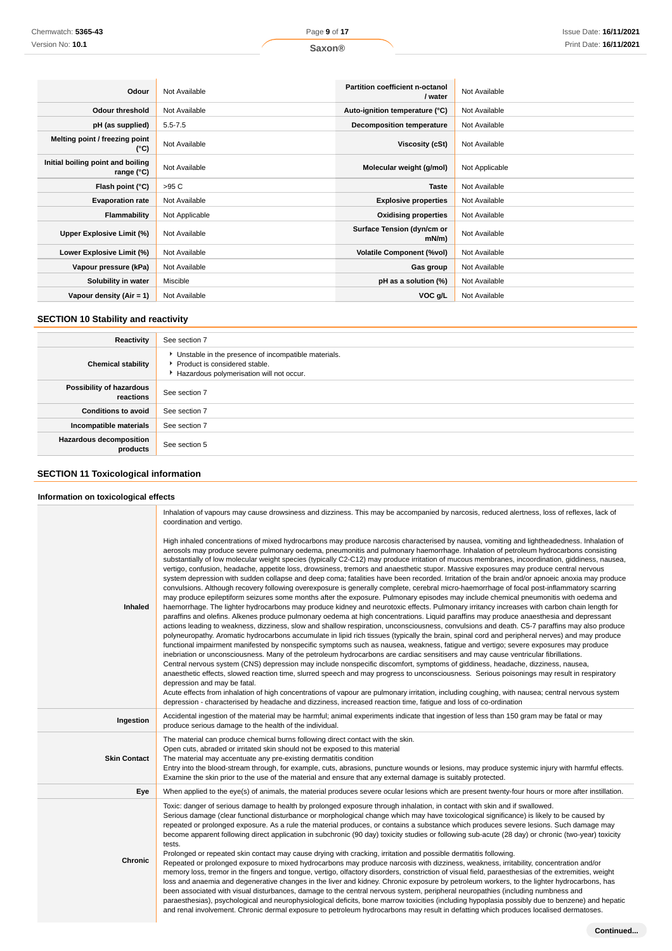| Odour                                           | Not Available  | <b>Partition coefficient n-octanol</b><br>/ water | Not Available  |
|-------------------------------------------------|----------------|---------------------------------------------------|----------------|
|                                                 |                |                                                   |                |
| <b>Odour threshold</b>                          | Not Available  | Auto-ignition temperature (°C)                    | Not Available  |
| pH (as supplied)                                | $5.5 - 7.5$    | <b>Decomposition temperature</b>                  | Not Available  |
| Melting point / freezing point<br>(°C)          | Not Available  | <b>Viscosity (cSt)</b>                            | Not Available  |
| Initial boiling point and boiling<br>range (°C) | Not Available  | Molecular weight (g/mol)                          | Not Applicable |
| Flash point (°C)                                | >95 C          | <b>Taste</b>                                      | Not Available  |
| <b>Evaporation rate</b>                         | Not Available  | <b>Explosive properties</b>                       | Not Available  |
| Flammability                                    | Not Applicable | <b>Oxidising properties</b>                       | Not Available  |
| Upper Explosive Limit (%)                       | Not Available  | Surface Tension (dyn/cm or<br>$mN/m$ )            | Not Available  |
| Lower Explosive Limit (%)                       | Not Available  | <b>Volatile Component (%vol)</b>                  | Not Available  |
| Vapour pressure (kPa)                           | Not Available  | Gas group                                         | Not Available  |
| Solubility in water                             | Miscible       | pH as a solution (%)                              | Not Available  |
| Vapour density ( $Air = 1$ )                    | Not Available  | VOC g/L                                           | Not Available  |

# **SECTION 10 Stability and reactivity**

| Reactivity                            | See section 7                                                                                                                        |
|---------------------------------------|--------------------------------------------------------------------------------------------------------------------------------------|
| <b>Chemical stability</b>             | • Unstable in the presence of incompatible materials.<br>▶ Product is considered stable.<br>Hazardous polymerisation will not occur. |
| Possibility of hazardous<br>reactions | See section 7                                                                                                                        |
| <b>Conditions to avoid</b>            | See section 7                                                                                                                        |
| Incompatible materials                | See section 7                                                                                                                        |
| Hazardous decomposition<br>products   | See section 5                                                                                                                        |

# **SECTION 11 Toxicological information**

## **Information on toxicological effects**

|                     | Inhalation of vapours may cause drowsiness and dizziness. This may be accompanied by narcosis, reduced alertness, loss of reflexes, lack of<br>coordination and vertigo.                                                                                                                                                                                                                                                                                                                                                                                                                                                                                                                                                                                                                                                                                                                                                                                                                                                                                                                                                                                                                                                                                                                                                                                                                                                                                                                                                                                                                                                                                                                                                                                                                                                                                                                                                                                                                                                                                                                                                                                                                                                                                                                                                                                                                                                                                                                          |
|---------------------|---------------------------------------------------------------------------------------------------------------------------------------------------------------------------------------------------------------------------------------------------------------------------------------------------------------------------------------------------------------------------------------------------------------------------------------------------------------------------------------------------------------------------------------------------------------------------------------------------------------------------------------------------------------------------------------------------------------------------------------------------------------------------------------------------------------------------------------------------------------------------------------------------------------------------------------------------------------------------------------------------------------------------------------------------------------------------------------------------------------------------------------------------------------------------------------------------------------------------------------------------------------------------------------------------------------------------------------------------------------------------------------------------------------------------------------------------------------------------------------------------------------------------------------------------------------------------------------------------------------------------------------------------------------------------------------------------------------------------------------------------------------------------------------------------------------------------------------------------------------------------------------------------------------------------------------------------------------------------------------------------------------------------------------------------------------------------------------------------------------------------------------------------------------------------------------------------------------------------------------------------------------------------------------------------------------------------------------------------------------------------------------------------------------------------------------------------------------------------------------------------|
| <b>Inhaled</b>      | High inhaled concentrations of mixed hydrocarbons may produce narcosis characterised by nausea, vomiting and lightheadedness. Inhalation of<br>aerosols may produce severe pulmonary oedema, pneumonitis and pulmonary haemorrhage. Inhalation of petroleum hydrocarbons consisting<br>substantially of low molecular weight species (typically C2-C12) may produce irritation of mucous membranes, incoordination, giddiness, nausea,<br>vertigo, confusion, headache, appetite loss, drowsiness, tremors and anaesthetic stupor. Massive exposures may produce central nervous<br>system depression with sudden collapse and deep coma; fatalities have been recorded. Irritation of the brain and/or apnoeic anoxia may produce<br>convulsions. Although recovery following overexposure is generally complete, cerebral micro-haemorrhage of focal post-inflammatory scarring<br>may produce epileptiform seizures some months after the exposure. Pulmonary episodes may include chemical pneumonitis with oedema and<br>haemorrhage. The lighter hydrocarbons may produce kidney and neurotoxic effects. Pulmonary irritancy increases with carbon chain length for<br>paraffins and olefins. Alkenes produce pulmonary oedema at high concentrations. Liquid paraffins may produce anaesthesia and depressant<br>actions leading to weakness, dizziness, slow and shallow respiration, unconsciousness, convulsions and death. C5-7 paraffins may also produce<br>polyneuropathy. Aromatic hydrocarbons accumulate in lipid rich tissues (typically the brain, spinal cord and peripheral nerves) and may produce<br>functional impairment manifested by nonspecific symptoms such as nausea, weakness, fatigue and vertigo; severe exposures may produce<br>inebriation or unconsciousness. Many of the petroleum hydrocarbons are cardiac sensitisers and may cause ventricular fibrillations.<br>Central nervous system (CNS) depression may include nonspecific discomfort, symptoms of giddiness, headache, dizziness, nausea,<br>anaesthetic effects, slowed reaction time, slurred speech and may progress to unconsciousness. Serious poisonings may result in respiratory<br>depression and may be fatal.<br>Acute effects from inhalation of high concentrations of vapour are pulmonary irritation, including coughing, with nausea; central nervous system<br>depression - characterised by headache and dizziness, increased reaction time, fatique and loss of co-ordination |
| Ingestion           | Accidental ingestion of the material may be harmful; animal experiments indicate that ingestion of less than 150 gram may be fatal or may<br>produce serious damage to the health of the individual.                                                                                                                                                                                                                                                                                                                                                                                                                                                                                                                                                                                                                                                                                                                                                                                                                                                                                                                                                                                                                                                                                                                                                                                                                                                                                                                                                                                                                                                                                                                                                                                                                                                                                                                                                                                                                                                                                                                                                                                                                                                                                                                                                                                                                                                                                              |
| <b>Skin Contact</b> | The material can produce chemical burns following direct contact with the skin.<br>Open cuts, abraded or irritated skin should not be exposed to this material<br>The material may accentuate any pre-existing dermatitis condition<br>Entry into the blood-stream through, for example, cuts, abrasions, puncture wounds or lesions, may produce systemic injury with harmful effects.<br>Examine the skin prior to the use of the material and ensure that any external damage is suitably protected.                                                                                                                                                                                                                                                                                                                                                                                                                                                                                                                                                                                                                                                                                                                                                                                                                                                                                                                                                                                                                                                                                                                                                                                                                                                                                                                                                                                                                                                                                                                                                                                                                                                                                                                                                                                                                                                                                                                                                                                           |
| Eye                 | When applied to the eye(s) of animals, the material produces severe ocular lesions which are present twenty-four hours or more after instillation.                                                                                                                                                                                                                                                                                                                                                                                                                                                                                                                                                                                                                                                                                                                                                                                                                                                                                                                                                                                                                                                                                                                                                                                                                                                                                                                                                                                                                                                                                                                                                                                                                                                                                                                                                                                                                                                                                                                                                                                                                                                                                                                                                                                                                                                                                                                                                |
| <b>Chronic</b>      | Toxic: danger of serious damage to health by prolonged exposure through inhalation, in contact with skin and if swallowed.<br>Serious damage (clear functional disturbance or morphological change which may have toxicological significance) is likely to be caused by<br>repeated or prolonged exposure. As a rule the material produces, or contains a substance which produces severe lesions. Such damage may<br>become apparent following direct application in subchronic (90 day) toxicity studies or following sub-acute (28 day) or chronic (two-year) toxicity<br>tests.<br>Prolonged or repeated skin contact may cause drying with cracking, irritation and possible dermatitis following.<br>Repeated or prolonged exposure to mixed hydrocarbons may produce narcosis with dizziness, weakness, irritability, concentration and/or<br>memory loss, tremor in the fingers and tongue, vertigo, olfactory disorders, constriction of visual field, paraesthesias of the extremities, weight<br>loss and anaemia and degenerative changes in the liver and kidney. Chronic exposure by petroleum workers, to the lighter hydrocarbons, has<br>been associated with visual disturbances, damage to the central nervous system, peripheral neuropathies (including numbness and<br>paraesthesias), psychological and neurophysiological deficits, bone marrow toxicities (including hypoplasia possibly due to benzene) and hepatic<br>and renal involvement. Chronic dermal exposure to petroleum hydrocarbons may result in defatting which produces localised dermatoses.                                                                                                                                                                                                                                                                                                                                                                                                                                                                                                                                                                                                                                                                                                                                                                                                                                                                                                            |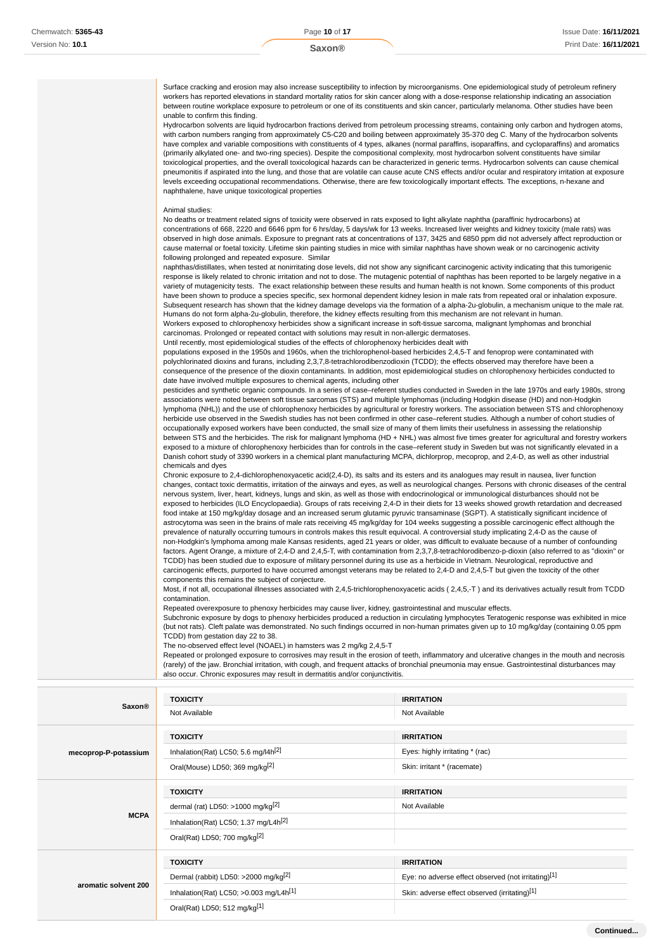| Surface cracking and erosion may also increase susceptibility to infection by microorganisms. One epidemiological study of petroleum refinery<br>workers has reported elevations in standard mortality ratios for skin cancer along with a dose-response relationship indicating an association<br>between routine workplace exposure to petroleum or one of its constituents and skin cancer, particularly melanoma. Other studies have been<br>unable to confirm this finding.                                                                                                                                                                                                                                                                                                                                                                                                                                                                                                                                                                                                                |
|-------------------------------------------------------------------------------------------------------------------------------------------------------------------------------------------------------------------------------------------------------------------------------------------------------------------------------------------------------------------------------------------------------------------------------------------------------------------------------------------------------------------------------------------------------------------------------------------------------------------------------------------------------------------------------------------------------------------------------------------------------------------------------------------------------------------------------------------------------------------------------------------------------------------------------------------------------------------------------------------------------------------------------------------------------------------------------------------------|
| Hydrocarbon solvents are liquid hydrocarbon fractions derived from petroleum processing streams, containing only carbon and hydrogen atoms,<br>with carbon numbers ranging from approximately C5-C20 and boiling between approximately 35-370 deg C. Many of the hydrocarbon solvents<br>have complex and variable compositions with constituents of 4 types, alkanes (normal paraffins, isoparaffins, and cycloparaffins) and aromatics<br>(primarily alkylated one- and two-ring species). Despite the compositional complexity, most hydrocarbon solvent constituents have similar<br>toxicological properties, and the overall toxicological hazards can be characterized in generic terms. Hydrocarbon solvents can cause chemical<br>pneumonitis if aspirated into the lung, and those that are volatile can cause acute CNS effects and/or ocular and respiratory irritation at exposure<br>levels exceeding occupational recommendations. Otherwise, there are few toxicologically important effects. The exceptions, n-hexane and<br>naphthalene, have unique toxicological properties |
| Animal studies:                                                                                                                                                                                                                                                                                                                                                                                                                                                                                                                                                                                                                                                                                                                                                                                                                                                                                                                                                                                                                                                                                 |
| No deaths or treatment related signs of toxicity were observed in rats exposed to light alkylate naphtha (paraffinic hydrocarbons) at<br>concentrations of 668, 2220 and 6646 ppm for 6 hrs/day, 5 days/wk for 13 weeks. Increased liver weights and kidney toxicity (male rats) was<br>observed in high dose animals. Exposure to pregnant rats at concentrations of 137, 3425 and 6850 ppm did not adversely affect reproduction or<br>cause maternal or foetal toxicity. Lifetime skin painting studies in mice with similar naphthas have shown weak or no carcinogenic activity<br>following prolonged and repeated exposure. Similar                                                                                                                                                                                                                                                                                                                                                                                                                                                      |
| naphthas/distillates, when tested at nonirritating dose levels, did not show any significant carcinogenic activity indicating that this tumorigenic<br>response is likely related to chronic irritation and not to dose. The mutagenic potential of naphthas has been reported to be largely negative in a                                                                                                                                                                                                                                                                                                                                                                                                                                                                                                                                                                                                                                                                                                                                                                                      |
| variety of mutagenicity tests. The exact relationship between these results and human health is not known. Some components of this product<br>have been shown to produce a species specific, sex hormonal dependent kidney lesion in male rats from repeated oral or inhalation exposure.<br>Subsequent research has shown that the kidney damage develops via the formation of a alpha-2u-globulin, a mechanism unique to the male rat.<br>Humans do not form alpha-2u-globulin, therefore, the kidney effects resulting from this mechanism are not relevant in human.<br>Workers exposed to chlorophenoxy herbicides show a significant increase in soft-tissue sarcoma, malignant lymphomas and bronchial                                                                                                                                                                                                                                                                                                                                                                                   |
| carcinomas. Prolonged or repeated contact with solutions may result in non-allergic dermatoses.                                                                                                                                                                                                                                                                                                                                                                                                                                                                                                                                                                                                                                                                                                                                                                                                                                                                                                                                                                                                 |
| Until recently, most epidemiological studies of the effects of chlorophenoxy herbicides dealt with                                                                                                                                                                                                                                                                                                                                                                                                                                                                                                                                                                                                                                                                                                                                                                                                                                                                                                                                                                                              |
| populations exposed in the 1950s and 1960s, when the trichlorophenol-based herbicides 2,4,5-T and fenoprop were contaminated with                                                                                                                                                                                                                                                                                                                                                                                                                                                                                                                                                                                                                                                                                                                                                                                                                                                                                                                                                               |
| polychlorinated dioxins and furans, including 2,3,7,8-tetrachlorodibenzodioxin (TCDD); the effects observed may therefore have been a<br>consequence of the presence of the dioxin contaminants. In addition, most epidemiological studies on chlorophenoxy herbicides conducted to                                                                                                                                                                                                                                                                                                                                                                                                                                                                                                                                                                                                                                                                                                                                                                                                             |
| date have involved multiple exposures to chemical agents, including other                                                                                                                                                                                                                                                                                                                                                                                                                                                                                                                                                                                                                                                                                                                                                                                                                                                                                                                                                                                                                       |
| pesticides and synthetic organic compounds. In a series of case–referent studies conducted in Sweden in the late 1970s and early 1980s, strong<br>associations were noted between soft tissue sarcomas (STS) and multiple lymphomas (including Hodgkin disease (HD) and non-Hodgkin                                                                                                                                                                                                                                                                                                                                                                                                                                                                                                                                                                                                                                                                                                                                                                                                             |
| lymphoma (NHL)) and the use of chlorophenoxy herbicides by agricultural or forestry workers. The association between STS and chlorophenoxy<br>herbicide use observed in the Swedish studies has not been confirmed in other case–referent studies. Although a number of cohort studies of<br>occupationally exposed workers have been conducted, the small size of many of them limits their usefulness in assessing the relationship<br>between STS and the herbicides. The risk for malignant lymphoma (HD + NHL) was almost five times greater for agricultural and forestry workers<br>exposed to a mixture of chlorophenoxy herbicides than for controls in the case–referent study in Sweden but was not significantly elevated in a<br>Danish cohort study of 3390 workers in a chemical plant manufacturing MCPA, dichlorprop, mecoprop, and 2,4-D, as well as other industrial                                                                                                                                                                                                         |
| chemicals and dyes                                                                                                                                                                                                                                                                                                                                                                                                                                                                                                                                                                                                                                                                                                                                                                                                                                                                                                                                                                                                                                                                              |
| Chronic exposure to 2,4-dichlorophenoxyacetic acid(2,4-D), its salts and its esters and its analogues may result in nausea, liver function<br>changes, contact toxic dermatitis, irritation of the airways and eyes, as well as neurological changes. Persons with chronic diseases of the central<br>nervous system, liver, heart, kidneys, lungs and skin, as well as those with endocrinological or immunological disturbances should not be                                                                                                                                                                                                                                                                                                                                                                                                                                                                                                                                                                                                                                                 |
| exposed to herbicides (ILO Encyclopaedia). Groups of rats receiving 2,4-D in their diets for 13 weeks showed growth retardation and decreased<br>food intake at 150 mg/kg/day dosage and an increased serum glutamic pyruvic transaminase (SGPT). A statistically significant incidence of<br>astrocytoma was seen in the brains of male rats receiving 45 mg/kg/day for 104 weeks suggesting a possible carcinogenic effect although the                                                                                                                                                                                                                                                                                                                                                                                                                                                                                                                                                                                                                                                       |
| prevalence of naturally occurring tumours in controls makes this result equivocal. A controversial study implicating 2,4-D as the cause of<br>non-Hodgkin's lymphoma among male Kansas residents, aged 21 years or older, was difficult to evaluate because of a number of confounding<br>factors. Agent Orange, a mixture of 2,4-D and 2,4,5-T, with contamination from 2,3,7,8-tetrachlorodibenzo-p-dioxin (also referred to as "dioxin" or                                                                                                                                                                                                                                                                                                                                                                                                                                                                                                                                                                                                                                                   |
| TCDD) has been studied due to exposure of military personnel during its use as a herbicide in Vietnam. Neurological, reproductive and<br>carcinogenic effects, purported to have occurred amongst veterans may be related to 2,4-D and 2,4,5-T but given the toxicity of the other                                                                                                                                                                                                                                                                                                                                                                                                                                                                                                                                                                                                                                                                                                                                                                                                              |
| components this remains the subject of conjecture.<br>Most, if not all, occupational illnesses associated with 2,4,5-trichlorophenoxyacetic acids (2,4,5,-T) and its derivatives actually result from TCDD                                                                                                                                                                                                                                                                                                                                                                                                                                                                                                                                                                                                                                                                                                                                                                                                                                                                                      |
| contamination.                                                                                                                                                                                                                                                                                                                                                                                                                                                                                                                                                                                                                                                                                                                                                                                                                                                                                                                                                                                                                                                                                  |
| Repeated overexposure to phenoxy herbicides may cause liver, kidney, gastrointestinal and muscular effects.<br>Subchronic exposure by dogs to phenoxy herbicides produced a reduction in circulating lymphocytes Teratogenic response was exhibited in mice                                                                                                                                                                                                                                                                                                                                                                                                                                                                                                                                                                                                                                                                                                                                                                                                                                     |
| (but not rats). Cleft palate was demonstrated. No such findings occurred in non-human primates given up to 10 mg/kg/day (containing 0.05 ppm<br>TCDD) from gestation day 22 to 38.                                                                                                                                                                                                                                                                                                                                                                                                                                                                                                                                                                                                                                                                                                                                                                                                                                                                                                              |
| The no-observed effect level (NOAEL) in hamsters was 2 mg/kg 2,4,5-T                                                                                                                                                                                                                                                                                                                                                                                                                                                                                                                                                                                                                                                                                                                                                                                                                                                                                                                                                                                                                            |
| Repeated or prolonged exposure to corrosives may result in the erosion of teeth, inflammatory and ulcerative changes in the mouth and necrosis<br>(rarely) of the jaw. Bronchial irritation, with cough, and frequent attacks of bronchial pneumonia may ensue. Gastrointestinal disturbances may                                                                                                                                                                                                                                                                                                                                                                                                                                                                                                                                                                                                                                                                                                                                                                                               |
| also occur. Chronic exposures may result in dermatitis and/or conjunctivitis.                                                                                                                                                                                                                                                                                                                                                                                                                                                                                                                                                                                                                                                                                                                                                                                                                                                                                                                                                                                                                   |

| <b>Saxon®</b>        | <b>TOXICITY</b><br>Not Available                     | <b>IRRITATION</b><br>Not Available                  |
|----------------------|------------------------------------------------------|-----------------------------------------------------|
|                      | <b>TOXICITY</b>                                      | <b>IRRITATION</b>                                   |
| mecoprop-P-potassium | Inhalation(Rat) LC50; 5.6 mg/l4h <sup>[2]</sup>      | Eyes: highly irritating * (rac)                     |
|                      | Oral(Mouse) LD50; 369 mg/kg <sup>[2]</sup>           | Skin: irritant * (racemate)                         |
|                      | <b>TOXICITY</b>                                      | <b>IRRITATION</b>                                   |
| <b>MCPA</b>          | dermal (rat) LD50: >1000 mg/kg $^{[2]}$              | Not Available                                       |
|                      | Inhalation(Rat) LC50; 1.37 mg/L4h <sup>[2]</sup>     |                                                     |
|                      | Oral(Rat) LD50; 700 mg/kg <sup>[2]</sup>             |                                                     |
|                      | <b>TOXICITY</b>                                      | <b>IRRITATION</b>                                   |
|                      | Dermal (rabbit) LD50: >2000 mg/kg <sup>[2]</sup>     | Eye: no adverse effect observed (not irritating)[1] |
| aromatic solvent 200 | Inhalation(Rat) LC50; $>0.003$ mg/L4h <sup>[1]</sup> | Skin: adverse effect observed (irritating)[1]       |
|                      | Oral(Rat) LD50; 512 mg/kg[1]                         |                                                     |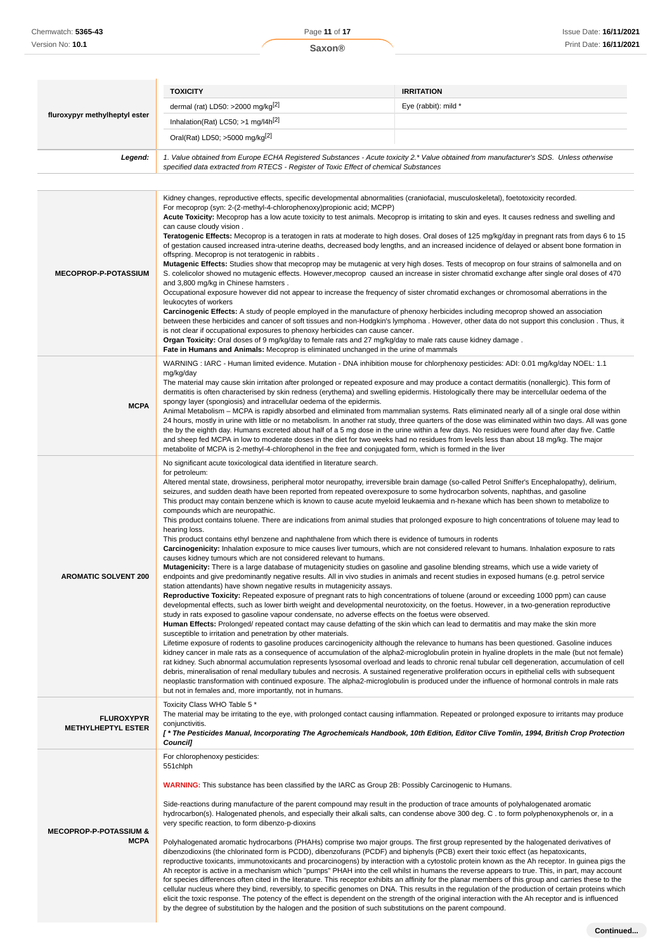|                                                  | <b>TOXICITY</b><br>dermal (rat) LD50: >2000 mg/kg[2]                                                                                                                                                                                                                                                                                                                                                                                                                                                                                                                                                                                                                                                                                                                                                                                                                                                                                                                                                                                                                                                                                                                                                                                                                                                                                                                                                                                                                                                                                                                                                                                                                                                                                                                                                                                                                                                                                                                                                                                                                                                                                                                                                                                                                                                                                                                                                                                                                                                                                                                                                                                                                                                                                                                                                                                                       | <b>IRRITATION</b><br>Eye (rabbit): mild *                                                                                                                                                                                                                                                                                                                                                                                                                                                                                                                                                                                                                                                                                                                                                                                                                                                                                                                                                                                                                               |  |
|--------------------------------------------------|------------------------------------------------------------------------------------------------------------------------------------------------------------------------------------------------------------------------------------------------------------------------------------------------------------------------------------------------------------------------------------------------------------------------------------------------------------------------------------------------------------------------------------------------------------------------------------------------------------------------------------------------------------------------------------------------------------------------------------------------------------------------------------------------------------------------------------------------------------------------------------------------------------------------------------------------------------------------------------------------------------------------------------------------------------------------------------------------------------------------------------------------------------------------------------------------------------------------------------------------------------------------------------------------------------------------------------------------------------------------------------------------------------------------------------------------------------------------------------------------------------------------------------------------------------------------------------------------------------------------------------------------------------------------------------------------------------------------------------------------------------------------------------------------------------------------------------------------------------------------------------------------------------------------------------------------------------------------------------------------------------------------------------------------------------------------------------------------------------------------------------------------------------------------------------------------------------------------------------------------------------------------------------------------------------------------------------------------------------------------------------------------------------------------------------------------------------------------------------------------------------------------------------------------------------------------------------------------------------------------------------------------------------------------------------------------------------------------------------------------------------------------------------------------------------------------------------------------------------|-------------------------------------------------------------------------------------------------------------------------------------------------------------------------------------------------------------------------------------------------------------------------------------------------------------------------------------------------------------------------------------------------------------------------------------------------------------------------------------------------------------------------------------------------------------------------------------------------------------------------------------------------------------------------------------------------------------------------------------------------------------------------------------------------------------------------------------------------------------------------------------------------------------------------------------------------------------------------------------------------------------------------------------------------------------------------|--|
| fluroxypyr methylheptyl ester                    | Inhalation(Rat) LC50; $>1$ mg/l4h <sup>[2]</sup>                                                                                                                                                                                                                                                                                                                                                                                                                                                                                                                                                                                                                                                                                                                                                                                                                                                                                                                                                                                                                                                                                                                                                                                                                                                                                                                                                                                                                                                                                                                                                                                                                                                                                                                                                                                                                                                                                                                                                                                                                                                                                                                                                                                                                                                                                                                                                                                                                                                                                                                                                                                                                                                                                                                                                                                                           |                                                                                                                                                                                                                                                                                                                                                                                                                                                                                                                                                                                                                                                                                                                                                                                                                                                                                                                                                                                                                                                                         |  |
|                                                  | Oral(Rat) LD50; $>5000$ mg/kg <sup>[2]</sup>                                                                                                                                                                                                                                                                                                                                                                                                                                                                                                                                                                                                                                                                                                                                                                                                                                                                                                                                                                                                                                                                                                                                                                                                                                                                                                                                                                                                                                                                                                                                                                                                                                                                                                                                                                                                                                                                                                                                                                                                                                                                                                                                                                                                                                                                                                                                                                                                                                                                                                                                                                                                                                                                                                                                                                                                               |                                                                                                                                                                                                                                                                                                                                                                                                                                                                                                                                                                                                                                                                                                                                                                                                                                                                                                                                                                                                                                                                         |  |
|                                                  |                                                                                                                                                                                                                                                                                                                                                                                                                                                                                                                                                                                                                                                                                                                                                                                                                                                                                                                                                                                                                                                                                                                                                                                                                                                                                                                                                                                                                                                                                                                                                                                                                                                                                                                                                                                                                                                                                                                                                                                                                                                                                                                                                                                                                                                                                                                                                                                                                                                                                                                                                                                                                                                                                                                                                                                                                                                            |                                                                                                                                                                                                                                                                                                                                                                                                                                                                                                                                                                                                                                                                                                                                                                                                                                                                                                                                                                                                                                                                         |  |
| Legend:                                          | specified data extracted from RTECS - Register of Toxic Effect of chemical Substances                                                                                                                                                                                                                                                                                                                                                                                                                                                                                                                                                                                                                                                                                                                                                                                                                                                                                                                                                                                                                                                                                                                                                                                                                                                                                                                                                                                                                                                                                                                                                                                                                                                                                                                                                                                                                                                                                                                                                                                                                                                                                                                                                                                                                                                                                                                                                                                                                                                                                                                                                                                                                                                                                                                                                                      | 1. Value obtained from Europe ECHA Registered Substances - Acute toxicity 2.* Value obtained from manufacturer's SDS. Unless otherwise                                                                                                                                                                                                                                                                                                                                                                                                                                                                                                                                                                                                                                                                                                                                                                                                                                                                                                                                  |  |
|                                                  |                                                                                                                                                                                                                                                                                                                                                                                                                                                                                                                                                                                                                                                                                                                                                                                                                                                                                                                                                                                                                                                                                                                                                                                                                                                                                                                                                                                                                                                                                                                                                                                                                                                                                                                                                                                                                                                                                                                                                                                                                                                                                                                                                                                                                                                                                                                                                                                                                                                                                                                                                                                                                                                                                                                                                                                                                                                            |                                                                                                                                                                                                                                                                                                                                                                                                                                                                                                                                                                                                                                                                                                                                                                                                                                                                                                                                                                                                                                                                         |  |
| <b>MECOPROP-P-POTASSIUM</b>                      | For mecoprop (syn: 2-(2-methyl-4-chlorophenoxy)propionic acid; MCPP)<br>Acute Toxicity: Mecoprop has a low acute toxicity to test animals. Mecoprop is irritating to skin and eyes. It causes redness and swelling and<br>can cause cloudy vision.<br>Teratogenic Effects: Mecoprop is a teratogen in rats at moderate to high doses. Oral doses of 125 mg/kg/day in pregnant rats from days 6 to 15<br>of gestation caused increased intra-uterine deaths, decreased body lengths, and an increased incidence of delayed or absent bone formation in<br>offspring. Mecoprop is not teratogenic in rabbits.<br>Mutagenic Effects: Studies show that mecoprop may be mutagenic at very high doses. Tests of mecoprop on four strains of salmonella and on<br>S. colelicolor showed no mutagenic effects. However, mecoprop caused an increase in sister chromatid exchange after single oral doses of 470<br>and 3,800 mg/kg in Chinese hamsters.<br>Occupational exposure however did not appear to increase the frequency of sister chromatid exchanges or chromosomal aberrations in the<br>leukocytes of workers<br>Carcinogenic Effects: A study of people employed in the manufacture of phenoxy herbicides including mecoprop showed an association<br>between these herbicides and cancer of soft tissues and non-Hodgkin's lymphoma. However, other data do not support this conclusion. Thus, it<br>is not clear if occupational exposures to phenoxy herbicides can cause cancer.<br>Organ Toxicity: Oral doses of 9 mg/kg/day to female rats and 27 mg/kg/day to male rats cause kidney damage.<br>Fate in Humans and Animals: Mecoprop is eliminated unchanged in the urine of mammals                                                                                                                                                                                                                                                                                                                                                                                                                                                                                                                                                                                                                                                                                                                                                                                                                                                                                                                                                                                                                                                                                                                                                         |                                                                                                                                                                                                                                                                                                                                                                                                                                                                                                                                                                                                                                                                                                                                                                                                                                                                                                                                                                                                                                                                         |  |
| <b>MCPA</b>                                      | WARNING: IARC - Human limited evidence. Mutation - DNA inhibition mouse for chlorphenoxy pesticides: ADI: 0.01 mg/kg/day NOEL: 1.1<br>mg/kg/day<br>The material may cause skin irritation after prolonged or repeated exposure and may produce a contact dermatitis (nonallergic). This form of<br>dermatitis is often characterised by skin redness (erythema) and swelling epidermis. Histologically there may be intercellular oedema of the<br>spongy layer (spongiosis) and intracellular oedema of the epidermis.<br>Animal Metabolism - MCPA is rapidly absorbed and eliminated from mammalian systems. Rats eliminated nearly all of a single oral dose within<br>24 hours, mostly in urine with little or no metabolism. In another rat study, three quarters of the dose was eliminated within two days. All was gone<br>the by the eighth day. Humans excreted about half of a 5 mg dose in the urine within a few days. No residues were found after day five. Cattle<br>and sheep fed MCPA in low to moderate doses in the diet for two weeks had no residues from levels less than about 18 mg/kg. The major<br>metabolite of MCPA is 2-methyl-4-chlorophenol in the free and conjugated form, which is formed in the liver                                                                                                                                                                                                                                                                                                                                                                                                                                                                                                                                                                                                                                                                                                                                                                                                                                                                                                                                                                                                                                                                                                                                                                                                                                                                                                                                                                                                                                                                                                                                                                                                                  |                                                                                                                                                                                                                                                                                                                                                                                                                                                                                                                                                                                                                                                                                                                                                                                                                                                                                                                                                                                                                                                                         |  |
| <b>AROMATIC SOLVENT 200</b>                      | No significant acute toxicological data identified in literature search.<br>for petroleum:<br>Altered mental state, drowsiness, peripheral motor neuropathy, irreversible brain damage (so-called Petrol Sniffer's Encephalopathy), delirium,<br>seizures, and sudden death have been reported from repeated overexposure to some hydrocarbon solvents, naphthas, and gasoline<br>This product may contain benzene which is known to cause acute myeloid leukaemia and n-hexane which has been shown to metabolize to<br>compounds which are neuropathic.<br>This product contains toluene. There are indications from animal studies that prolonged exposure to high concentrations of toluene may lead to<br>hearing loss.<br>This product contains ethyl benzene and naphthalene from which there is evidence of tumours in rodents<br>Carcinogenicity: Inhalation exposure to mice causes liver tumours, which are not considered relevant to humans. Inhalation exposure to rats<br>causes kidney tumours which are not considered relevant to humans.<br>Mutagenicity: There is a large database of mutagenicity studies on gasoline and gasoline blending streams, which use a wide variety of<br>endpoints and give predominantly negative results. All in vivo studies in animals and recent studies in exposed humans (e.g. petrol service<br>station attendants) have shown negative results in mutagenicity assays.<br>Reproductive Toxicity: Repeated exposure of pregnant rats to high concentrations of toluene (around or exceeding 1000 ppm) can cause<br>developmental effects, such as lower birth weight and developmental neurotoxicity, on the foetus. However, in a two-generation reproductive<br>study in rats exposed to gasoline vapour condensate, no adverse effects on the foetus were observed.<br>Human Effects: Prolonged/ repeated contact may cause defatting of the skin which can lead to dermatitis and may make the skin more<br>susceptible to irritation and penetration by other materials.<br>Lifetime exposure of rodents to gasoline produces carcinogenicity although the relevance to humans has been questioned. Gasoline induces<br>kidney cancer in male rats as a consequence of accumulation of the alpha2-microglobulin protein in hyaline droplets in the male (but not female)<br>rat kidney. Such abnormal accumulation represents lysosomal overload and leads to chronic renal tubular cell degeneration, accumulation of cell<br>debris, mineralisation of renal medullary tubules and necrosis. A sustained regenerative proliferation occurs in epithelial cells with subsequent<br>neoplastic transformation with continued exposure. The alpha2-microglobulin is produced under the influence of hormonal controls in male rats<br>but not in females and, more importantly, not in humans. |                                                                                                                                                                                                                                                                                                                                                                                                                                                                                                                                                                                                                                                                                                                                                                                                                                                                                                                                                                                                                                                                         |  |
| <b>FLUROXYPYR</b><br><b>METHYLHEPTYL ESTER</b>   | Toxicity Class WHO Table 5 *<br>conjunctivitis.<br><b>Council]</b>                                                                                                                                                                                                                                                                                                                                                                                                                                                                                                                                                                                                                                                                                                                                                                                                                                                                                                                                                                                                                                                                                                                                                                                                                                                                                                                                                                                                                                                                                                                                                                                                                                                                                                                                                                                                                                                                                                                                                                                                                                                                                                                                                                                                                                                                                                                                                                                                                                                                                                                                                                                                                                                                                                                                                                                         | The material may be irritating to the eye, with prolonged contact causing inflammation. Repeated or prolonged exposure to irritants may produce<br>[* The Pesticides Manual, Incorporating The Agrochemicals Handbook, 10th Edition, Editor Clive Tomlin, 1994, British Crop Protection                                                                                                                                                                                                                                                                                                                                                                                                                                                                                                                                                                                                                                                                                                                                                                                 |  |
| <b>MECOPROP-P-POTASSIUM &amp;</b><br><b>MCPA</b> | For chlorophenoxy pesticides:<br>551chlph<br><b>WARNING:</b> This substance has been classified by the IARC as Group 2B: Possibly Carcinogenic to Humans.<br>Side-reactions during manufacture of the parent compound may result in the production of trace amounts of polyhalogenated aromatic<br>very specific reaction, to form dibenzo-p-dioxins<br>dibenzodioxins (the chlorinated form is PCDD), dibenzofurans (PCDF) and biphenyls (PCB) exert their toxic effect (as hepatoxicants,<br>by the degree of substitution by the halogen and the position of such substitutions on the parent compound.                                                                                                                                                                                                                                                                                                                                                                                                                                                                                                                                                                                                                                                                                                                                                                                                                                                                                                                                                                                                                                                                                                                                                                                                                                                                                                                                                                                                                                                                                                                                                                                                                                                                                                                                                                                                                                                                                                                                                                                                                                                                                                                                                                                                                                                 | hydrocarbon(s). Halogenated phenols, and especially their alkali salts, can condense above 300 deg. C . to form polyphenoxyphenols or, in a<br>Polyhalogenated aromatic hydrocarbons (PHAHs) comprise two major groups. The first group represented by the halogenated derivatives of<br>reproductive toxicants, immunotoxicants and procarcinogens) by interaction with a cytostolic protein known as the Ah receptor. In guinea pigs the<br>Ah receptor is active in a mechanism which "pumps" PHAH into the cell whilst in humans the reverse appears to true. This, in part, may account<br>for species differences often cited in the literature. This receptor exhibits an affinity for the planar members of this group and carries these to the<br>cellular nucleus where they bind, reversibly, to specific genomes on DNA. This results in the regulation of the production of certain proteins which<br>elicit the toxic response. The potency of the effect is dependent on the strength of the original interaction with the Ah receptor and is influenced |  |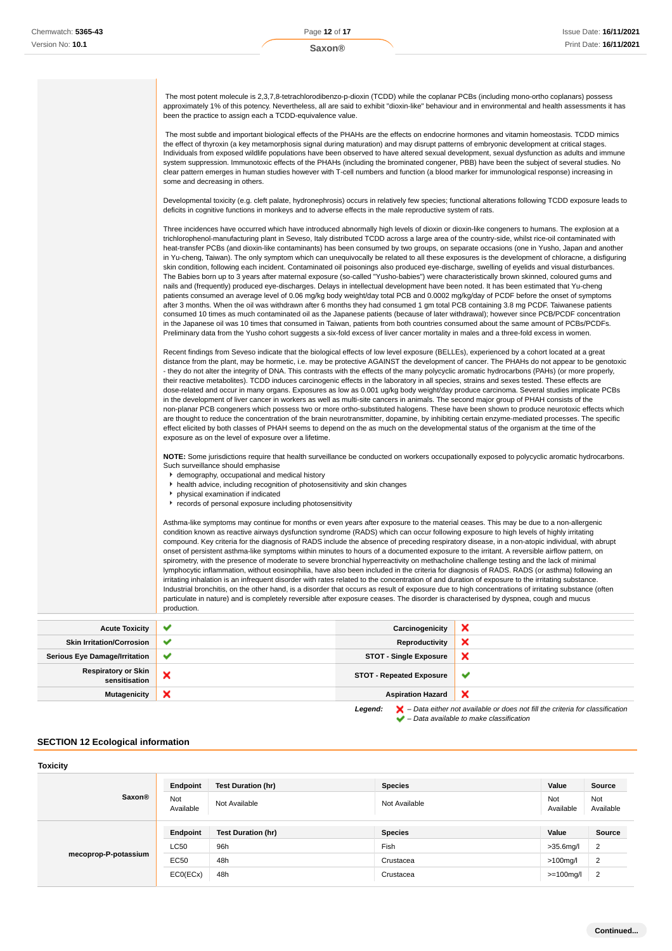The most potent molecule is 2,3,7,8-tetrachlorodibenzo-p-dioxin (TCDD) while the coplanar PCBs (including mono-ortho coplanars) possess approximately 1% of this potency. Nevertheless, all are said to exhibit "dioxin-like" behaviour and in environmental and health assessments it has been the practice to assign each a TCDD-equivalence value.

 The most subtle and important biological effects of the PHAHs are the effects on endocrine hormones and vitamin homeostasis. TCDD mimics the effect of thyroxin (a key metamorphosis signal during maturation) and may disrupt patterns of embryonic development at critical stages. Individuals from exposed wildlife populations have been observed to have altered sexual development, sexual dysfunction as adults and immune system suppression. Immunotoxic effects of the PHAHs (including the brominated congener, PBB) have been the subject of several studies. No clear pattern emerges in human studies however with T-cell numbers and function (a blood marker for immunological response) increasing in some and decreasing in others.

Developmental toxicity (e.g. cleft palate, hydronephrosis) occurs in relatively few species; functional alterations following TCDD exposure leads to deficits in cognitive functions in monkeys and to adverse effects in the male reproductive system of rats.

Three incidences have occurred which have introduced abnormally high levels of dioxin or dioxin-like congeners to humans. The explosion at a trichlorophenol-manufacturing plant in Seveso, Italy distributed TCDD across a large area of the country-side, whilst rice-oil contaminated with heat-transfer PCBs (and dioxin-like contaminants) has been consumed by two groups, on separate occasions (one in Yusho, Japan and another in Yu-cheng, Taiwan). The only symptom which can unequivocally be related to all these exposures is the development of chloracne, a disfiguring skin condition, following each incident. Contaminated oil poisonings also produced eye-discharge, swelling of eyelids and visual disturbances. The Babies born up to 3 years after maternal exposure (so-called "Yusho-babies") were characteristically brown skinned, coloured gums and nails and (frequently) produced eye-discharges. Delays in intellectual development have been noted. It has been estimated that Yu-cheng patients consumed an average level of 0.06 mg/kg body weight/day total PCB and 0.0002 mg/kg/day of PCDF before the onset of symptoms after 3 months. When the oil was withdrawn after 6 months they had consumed 1 gm total PCB containing 3.8 mg PCDF. Taiwanese patients consumed 10 times as much contaminated oil as the Japanese patients (because of later withdrawal); however since PCB/PCDF concentration in the Japanese oil was 10 times that consumed in Taiwan, patients from both countries consumed about the same amount of PCBs/PCDFs. Preliminary data from the Yusho cohort suggests a six-fold excess of liver cancer mortality in males and a three-fold excess in women.

Recent findings from Seveso indicate that the biological effects of low level exposure (BELLEs), experienced by a cohort located at a great distance from the plant, may be hormetic, i.e. may be protective AGAINST the development of cancer. The PHAHs do not appear to be genotoxic - they do not alter the integrity of DNA. This contrasts with the effects of the many polycyclic aromatic hydrocarbons (PAHs) (or more properly, their reactive metabolites). TCDD induces carcinogenic effects in the laboratory in all species, strains and sexes tested. These effects are dose-related and occur in many organs. Exposures as low as 0.001 ug/kg body weight/day produce carcinoma. Several studies implicate PCBs in the development of liver cancer in workers as well as multi-site cancers in animals. The second major group of PHAH consists of the non-planar PCB congeners which possess two or more ortho-substituted halogens. These have been shown to produce neurotoxic effects which are thought to reduce the concentration of the brain neurotransmitter, dopamine, by inhibiting certain enzyme-mediated processes. The specific effect elicited by both classes of PHAH seems to depend on the as much on the developmental status of the organism at the time of the exposure as on the level of exposure over a lifetime.

**NOTE:** Some jurisdictions require that health surveillance be conducted on workers occupationally exposed to polycyclic aromatic hydrocarbons. Such surveillance should emphasise

- demography, occupational and medical history
- health advice, including recognition of photosensitivity and skin changes
- physical examination if indicated
- records of personal exposure including photosensitivity

Asthma-like symptoms may continue for months or even years after exposure to the material ceases. This may be due to a non-allergenic condition known as reactive airways dysfunction syndrome (RADS) which can occur following exposure to high levels of highly irritating compound. Key criteria for the diagnosis of RADS include the absence of preceding respiratory disease, in a non-atopic individual, with abrupt onset of persistent asthma-like symptoms within minutes to hours of a documented exposure to the irritant. A reversible airflow pattern, on spirometry, with the presence of moderate to severe bronchial hyperreactivity on methacholine challenge testing and the lack of minimal lymphocytic inflammation, without eosinophilia, have also been included in the criteria for diagnosis of RADS. RADS (or asthma) following an irritating inhalation is an infrequent disorder with rates related to the concentration of and duration of exposure to the irritating substance. Industrial bronchitis, on the other hand, is a disorder that occurs as result of exposure due to high concentrations of irritating substance (often particulate in nature) and is completely reversible after exposure ceases. The disorder is characterised by dyspnea, cough and mucus production.

|                                             | $\checkmark$ |                                 |   |
|---------------------------------------------|--------------|---------------------------------|---|
| <b>Acute Toxicity</b>                       |              | Carcinogenicity                 | ◚ |
| <b>Skin Irritation/Corrosion</b>            | $\checkmark$ | Reproductivity                  | ◚ |
| <b>Serious Eye Damage/Irritation</b>        | $\checkmark$ | <b>STOT - Single Exposure</b>   | × |
| <b>Respiratory or Skin</b><br>sensitisation | ◠            | <b>STOT - Repeated Exposure</b> | M |
| <b>Mutagenicity</b>                         | ↗            | <b>Aspiration Hazard</b>        | ↗ |

Legend:  $\blacktriangleright$  - Data either not available or does not fill the criteria for classification  $\blacktriangleright$  – Data available to make classification

#### **SECTION 12 Ecological information**

| <b>Toxicity</b>      |                  |                           |                |                  |                  |
|----------------------|------------------|---------------------------|----------------|------------------|------------------|
|                      | Endpoint         | <b>Test Duration (hr)</b> | <b>Species</b> | Value            | Source           |
| <b>Saxon®</b>        | Not<br>Available | Not Available             | Not Available  | Not<br>Available | Not<br>Available |
|                      | Endpoint         | Test Duration (hr)        | <b>Species</b> | Value            | <b>Source</b>    |
| mecoprop-P-potassium | <b>LC50</b>      | 96h                       | Fish           | $>35.6$ mg/l     | $\overline{2}$   |
|                      | <b>EC50</b>      | 48h                       | Crustacea      | $>100$ mg/l      | $\overline{2}$   |
|                      | ECO(ECX)         | 48h                       | Crustacea      | >=100mg/l        | $\overline{2}$   |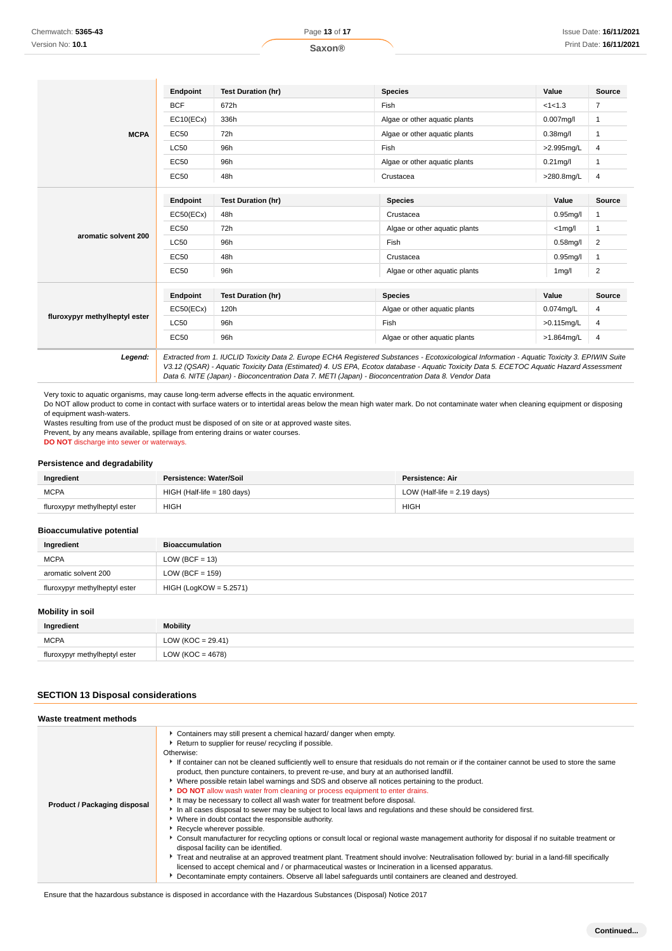| <b>Endpoint</b> | <b>Test Duration (hr)</b> | <b>Species</b>                | Value         | <b>Source</b>  |
|-----------------|---------------------------|-------------------------------|---------------|----------------|
| <b>BCF</b>      | 672h                      | Fish                          | <1<1.3        | $\overline{7}$ |
| EC10(ECx)       | 336h                      | Algae or other aquatic plants | $0.007$ mg/l  | 1              |
| EC50            | 72h                       | Algae or other aquatic plants | $0.38$ mg/l   |                |
| <b>LC50</b>     | 96h                       | Fish                          | >2.995mg/L    | 4              |
| EC50            | 96h                       | Algae or other aquatic plants | $0.21$ mg/l   | $\mathbf{1}$   |
| EC50            | 48h                       | Crustacea                     | >280.8mg/L    | 4              |
| <b>Endpoint</b> | <b>Test Duration (hr)</b> | <b>Species</b>                | Value         | Source         |
| EC50(ECx)       | 48h                       | Crustacea                     |               |                |
| EC50            | 72h                       | Algae or other aquatic plants | $<$ 1mg/l     |                |
| <b>LC50</b>     | 96h                       | Fish                          | $0.58$ mg/l   | $\overline{2}$ |
| EC50            | 48h                       | Crustacea                     | $0.95$ mg/l   |                |
| EC50            | 96h                       | Algae or other aquatic plants | $1$ mg/l      | $\overline{2}$ |
| Endpoint        | <b>Test Duration (hr)</b> | <b>Species</b>                | Value         | Source         |
| EC50(ECx)       | 120h                      | Algae or other aquatic plants | $0.074$ mg/L  | 4              |
| <b>LC50</b>     | 96h                       | Fish                          | $>0.115$ mg/L | 4              |
| <b>EC50</b>     | 96h                       | Algae or other aquatic plants | >1.864mg/L    | 4              |
|                 |                           |                               |               | $0.95$ mg/l    |

Very toxic to aquatic organisms, may cause long-term adverse effects in the aquatic environment.

Do NOT allow product to come in contact with surface waters or to intertidal areas below the mean high water mark. Do not contaminate water when cleaning equipment or disposing of equipment wash-waters.

Wastes resulting from use of the product must be disposed of on site or at approved waste sites.

Prevent, by any means available, spillage from entering drains or water courses.

**DO NOT** discharge into sewer or waterways.

## **Persistence and degradability**

| Ingredient                    | Persistence: Water/Soil     | Persistence: Air              |
|-------------------------------|-----------------------------|-------------------------------|
| <b>MCPA</b>                   | HIGH (Half-life = 180 days) | LOW (Half-life $= 2.19$ days) |
| fluroxypyr methylheptyl ester | <b>HIGH</b>                 | <b>HIGH</b>                   |

#### **Bioaccumulative potential**

| Ingredient                    | <b>Bioaccumulation</b>   |
|-------------------------------|--------------------------|
| <b>MCPA</b>                   | LOW (BCF = 13)           |
| aromatic solvent 200          | LOW (BCF = $159$ )       |
| fluroxypyr methylheptyl ester | $HIGH (LogKOW = 5.2571)$ |

### **Mobility in soil**

| Ingredient                    | <b>Mobility</b>     |
|-------------------------------|---------------------|
| <b>MCPA</b>                   | $LOW (KOC = 29.41)$ |
| fluroxypyr methylheptyl ester | LOW (KOC = 4678)    |

## **SECTION 13 Disposal considerations**

#### **Waste treatment methods**

| Product / Packaging disposal | • Containers may still present a chemical hazard/ danger when empty.<br>Return to supplier for reuse/ recycling if possible.<br>Otherwise:<br>If container can not be cleaned sufficiently well to ensure that residuals do not remain or if the container cannot be used to store the same<br>product, then puncture containers, to prevent re-use, and bury at an authorised landfill.<br>Mere possible retain label warnings and SDS and observe all notices pertaining to the product.<br>DO NOT allow wash water from cleaning or process equipment to enter drains.<br>It may be necessary to collect all wash water for treatment before disposal.<br>In all cases disposal to sewer may be subject to local laws and regulations and these should be considered first.<br>• Where in doubt contact the responsible authority.<br>Recycle wherever possible.<br>▶ Consult manufacturer for recycling options or consult local or regional waste management authority for disposal if no suitable treatment or<br>disposal facility can be identified.<br>Freat and neutralise at an approved treatment plant. Treatment should involve: Neutralisation followed by: burial in a land-fill specifically<br>licensed to accept chemical and / or pharmaceutical wastes or Incineration in a licensed apparatus.<br>Decontaminate empty containers. Observe all label safeguards until containers are cleaned and destroyed. |
|------------------------------|----------------------------------------------------------------------------------------------------------------------------------------------------------------------------------------------------------------------------------------------------------------------------------------------------------------------------------------------------------------------------------------------------------------------------------------------------------------------------------------------------------------------------------------------------------------------------------------------------------------------------------------------------------------------------------------------------------------------------------------------------------------------------------------------------------------------------------------------------------------------------------------------------------------------------------------------------------------------------------------------------------------------------------------------------------------------------------------------------------------------------------------------------------------------------------------------------------------------------------------------------------------------------------------------------------------------------------------------------------------------------------------------------------------------------------|

Ensure that the hazardous substance is disposed in accordance with the Hazardous Substances (Disposal) Notice 2017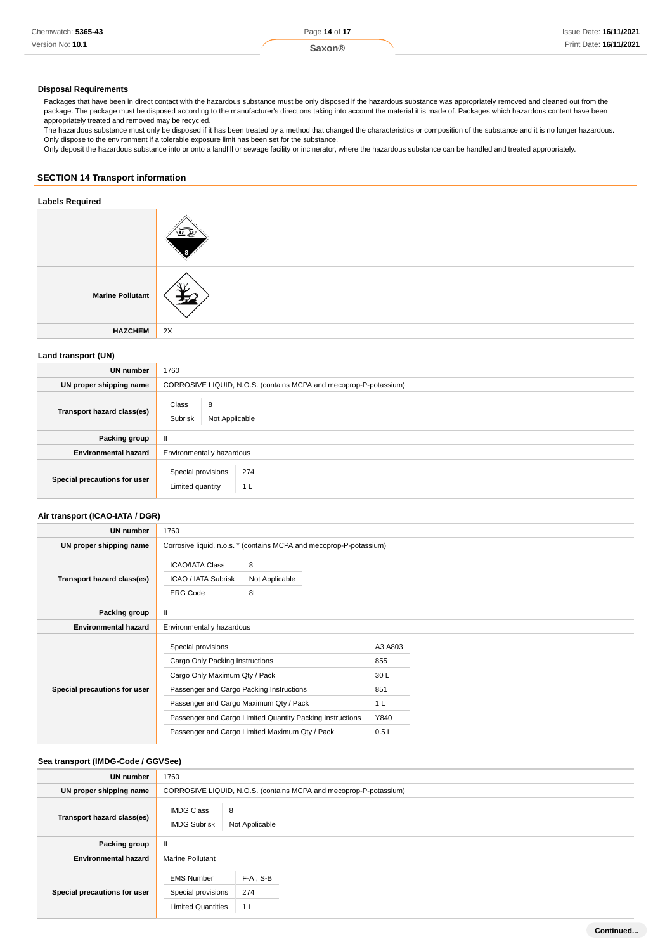#### **Disposal Requirements**

Packages that have been in direct contact with the hazardous substance must be only disposed if the hazardous substance was appropriately removed and cleaned out from the package. The package must be disposed according to the manufacturer's directions taking into account the material it is made of. Packages which hazardous content have been appropriately treated and removed may be recycled.

The hazardous substance must only be disposed if it has been treated by a method that changed the characteristics or composition of the substance and it is no longer hazardous. Only dispose to the environment if a tolerable exposure limit has been set for the substance.

Only deposit the hazardous substance into or onto a landfill or sewage facility or incinerator, where the hazardous substance can be handled and treated appropriately.

#### **SECTION 14 Transport information**

### **Labels Required**

| <b>Marine Pollutant</b> |    |
|-------------------------|----|
| <b>HAZCHEM</b>          | 2X |

### **Land transport (UN)**

| UN number                    | 1760                                                              |
|------------------------------|-------------------------------------------------------------------|
| UN proper shipping name      | CORROSIVE LIQUID, N.O.S. (contains MCPA and mecoprop-P-potassium) |
| Transport hazard class(es)   | Class<br>8<br>Subrisk<br>Not Applicable                           |
| Packing group                | $\mathbf{H}$                                                      |
| <b>Environmental hazard</b>  | Environmentally hazardous                                         |
| Special precautions for user | Special provisions<br>274<br>Limited quantity<br>1 <sub>L</sub>   |

## **Air transport (ICAO-IATA / DGR)**

| UN number                    | 1760                                                                                                                                                                                                                                      |  |                                             |  |
|------------------------------|-------------------------------------------------------------------------------------------------------------------------------------------------------------------------------------------------------------------------------------------|--|---------------------------------------------|--|
| UN proper shipping name      | Corrosive liquid, n.o.s. * (contains MCPA and mecoprop-P-potassium)                                                                                                                                                                       |  |                                             |  |
| Transport hazard class(es)   | <b>ICAO/IATA Class</b><br>8<br>ICAO / IATA Subrisk<br>Not Applicable<br><b>ERG Code</b><br>8L                                                                                                                                             |  |                                             |  |
| Packing group                | $\mathbf{II}$                                                                                                                                                                                                                             |  |                                             |  |
| <b>Environmental hazard</b>  | Environmentally hazardous                                                                                                                                                                                                                 |  |                                             |  |
| Special precautions for user | Special provisions<br>Cargo Only Packing Instructions<br>Cargo Only Maximum Qty / Pack<br>Passenger and Cargo Packing Instructions<br>Passenger and Cargo Maximum Qty / Pack<br>Passenger and Cargo Limited Quantity Packing Instructions |  | A3 A803<br>855<br>30L<br>851<br>1 L<br>Y840 |  |
|                              | Passenger and Cargo Limited Maximum Qty / Pack                                                                                                                                                                                            |  | 0.5L                                        |  |

#### **Sea transport (IMDG-Code / GGVSee)**

| UN number                    | 1760                                                                 |                                                                   |  |  |
|------------------------------|----------------------------------------------------------------------|-------------------------------------------------------------------|--|--|
| UN proper shipping name      |                                                                      | CORROSIVE LIQUID, N.O.S. (contains MCPA and mecoprop-P-potassium) |  |  |
| Transport hazard class(es)   | <b>IMDG Class</b><br><b>IMDG Subrisk</b>                             | 8<br>Not Applicable                                               |  |  |
| Packing group                | $\mathbf{I}$                                                         |                                                                   |  |  |
| <b>Environmental hazard</b>  | <b>Marine Pollutant</b>                                              |                                                                   |  |  |
| Special precautions for user | <b>EMS Number</b><br>Special provisions<br><b>Limited Quantities</b> | $F-A$ , S-B<br>274<br>1 <sub>L</sub>                              |  |  |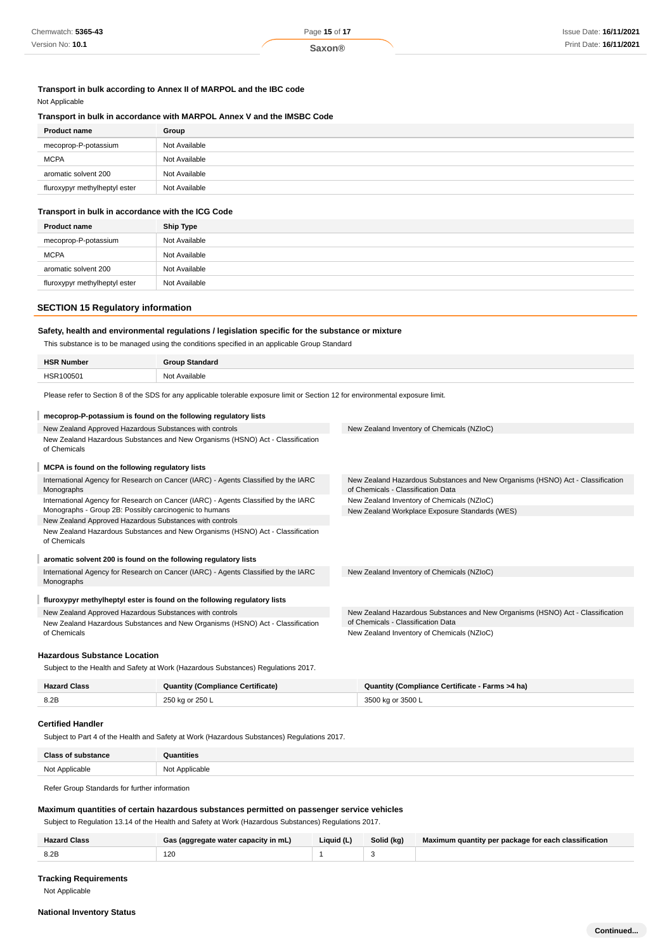#### **Transport in bulk according to Annex II of MARPOL and the IBC code** Not Applicable

## **Transport in bulk in accordance with MARPOL Annex V and the IMSBC Code**

| <b>Product name</b>           | Group         |
|-------------------------------|---------------|
| mecoprop-P-potassium          | Not Available |
| <b>MCPA</b>                   | Not Available |
| aromatic solvent 200          | Not Available |
| fluroxypyr methylheptyl ester | Not Available |

## **Transport in bulk in accordance with the ICG Code**

| <b>Product name</b>           | <b>Ship Type</b> |
|-------------------------------|------------------|
| mecoprop-P-potassium          | Not Available    |
| <b>MCPA</b>                   | Not Available    |
| aromatic solvent 200          | Not Available    |
| fluroxypyr methylheptyl ester | Not Available    |

## **SECTION 15 Regulatory information**

## **Safety, health and environmental regulations / legislation specific for the substance or mixture**

This substance is to be managed using the conditions specified in an applicable Group Standard

| <b>HSR Number</b> | <b>Group Standard</b> |
|-------------------|-----------------------|
| HSR100501         | Not Available         |
|                   |                       |

Please refer to Section 8 of the SDS for any applicable tolerable exposure limit or Section 12 for environmental exposure limit.

# **mecoprop-P-potassium is found on the following regulatory lists**

| New Zealand Approved Hazardous Substances with controls                                          | New Zealand Inventory of Chemicals (NZIoC)                                                                           |  |  |
|--------------------------------------------------------------------------------------------------|----------------------------------------------------------------------------------------------------------------------|--|--|
| New Zealand Hazardous Substances and New Organisms (HSNO) Act - Classification<br>of Chemicals   |                                                                                                                      |  |  |
| MCPA is found on the following regulatory lists                                                  |                                                                                                                      |  |  |
| International Agency for Research on Cancer (IARC) - Agents Classified by the IARC<br>Monographs | New Zealand Hazardous Substances and New Organisms (HSNO) Act - Classification<br>of Chemicals - Classification Data |  |  |
| International Agency for Research on Cancer (IARC) - Agents Classified by the IARC               | New Zealand Inventory of Chemicals (NZIoC)                                                                           |  |  |
| Monographs - Group 2B: Possibly carcinogenic to humans                                           | New Zealand Workplace Exposure Standards (WES)                                                                       |  |  |
| New Zealand Approved Hazardous Substances with controls                                          |                                                                                                                      |  |  |
| New Zealand Hazardous Substances and New Organisms (HSNO) Act - Classification<br>of Chemicals   |                                                                                                                      |  |  |
| aromatic solvent 200 is found on the following regulatory lists                                  |                                                                                                                      |  |  |
| International Agency for Research on Cancer (IARC) - Agents Classified by the IARC               | New Zealand Inventory of Chemicals (NZIoC)                                                                           |  |  |
| Monographs                                                                                       |                                                                                                                      |  |  |
| fluroxypyr methylheptyl ester is found on the following regulatory lists                         |                                                                                                                      |  |  |
| New Zealand Approved Hazardous Substances with controls                                          | New Zealand Hazardous Substances and New Organisms (HSNO) Act - Classification                                       |  |  |
| New Zealand Hazardous Substances and New Organisms (HSNO) Act - Classification                   | of Chemicals - Classification Data                                                                                   |  |  |
| of Chemicals                                                                                     | New Zealand Inventory of Chemicals (NZIoC)                                                                           |  |  |
|                                                                                                  |                                                                                                                      |  |  |

#### **Hazardous Substance Location**

Subject to the Health and Safety at Work (Hazardous Substances) Regulations 2017.

| <b>Hazard Class</b> | <b>Quantity (Compliance Certificate)</b> | Quantity (Compliance Certificate - Farms >4 ha) |  |
|---------------------|------------------------------------------|-------------------------------------------------|--|
| 8.2P                | 250 kg or 250 L                          | 3500 kg or 3500 L                               |  |

#### **Certified Handler**

Subject to Part 4 of the Health and Safety at Work (Hazardous Substances) Regulations 2017.

| <b>Class of substance</b> | Quantities<br>_____ |
|---------------------------|---------------------|
| Not Applicable            | Not Applicable      |

Refer Group Standards for further information

## **Maximum quantities of certain hazardous substances permitted on passenger service vehicles**

Subject to Regulation 13.14 of the Health and Safety at Work (Hazardous Substances) Regulations 2017.

|                       | ≅ (aggregate water capacity in mL) | Liquid (L) | Solid (kg) | Maximum quantity per package for each classification |
|-----------------------|------------------------------------|------------|------------|------------------------------------------------------|
| 8.2E<br>$\sim$ $\sim$ | 120<br>__                          |            |            |                                                      |

#### **Tracking Requirements**

Not Applicable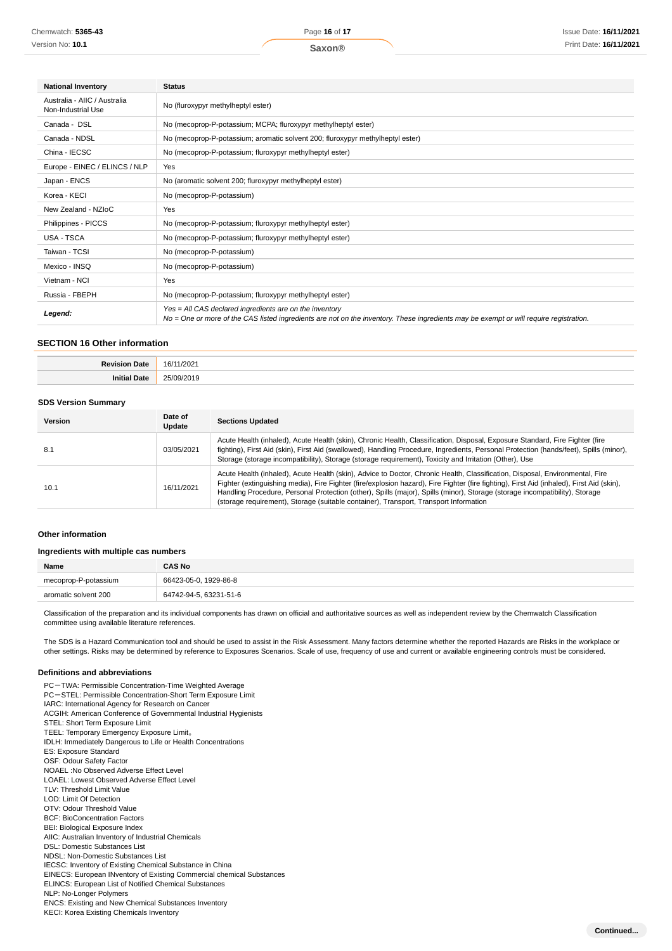| <b>National Inventory</b>                          | <b>Status</b>                                                                                                                                                                                       |  |  |
|----------------------------------------------------|-----------------------------------------------------------------------------------------------------------------------------------------------------------------------------------------------------|--|--|
| Australia - AIIC / Australia<br>Non-Industrial Use | No (fluroxypyr methylheptyl ester)                                                                                                                                                                  |  |  |
| Canada - DSL                                       | No (mecoprop-P-potassium; MCPA; fluroxypyr methylheptyl ester)                                                                                                                                      |  |  |
| Canada - NDSL                                      | No (mecoprop-P-potassium; aromatic solvent 200; fluroxypyr methylheptyl ester)                                                                                                                      |  |  |
| China - IECSC                                      | No (mecoprop-P-potassium; fluroxypyr methylheptyl ester)                                                                                                                                            |  |  |
| Europe - EINEC / ELINCS / NLP                      | Yes                                                                                                                                                                                                 |  |  |
| Japan - ENCS                                       | No (aromatic solvent 200; fluroxypyr methylheptyl ester)                                                                                                                                            |  |  |
| Korea - KECI                                       | No (mecoprop-P-potassium)                                                                                                                                                                           |  |  |
| New Zealand - NZIoC                                | Yes                                                                                                                                                                                                 |  |  |
| Philippines - PICCS                                | No (mecoprop-P-potassium; fluroxypyr methylheptyl ester)                                                                                                                                            |  |  |
| USA - TSCA                                         | No (mecoprop-P-potassium; fluroxypyr methylheptyl ester)                                                                                                                                            |  |  |
| Taiwan - TCSI                                      | No (mecoprop-P-potassium)                                                                                                                                                                           |  |  |
| Mexico - INSQ                                      | No (mecoprop-P-potassium)                                                                                                                                                                           |  |  |
| Vietnam - NCI                                      | Yes                                                                                                                                                                                                 |  |  |
| Russia - FBEPH                                     | No (mecoprop-P-potassium; fluroxypyr methylheptyl ester)                                                                                                                                            |  |  |
| Legend:                                            | $Yes = All CAS declared ingredients are on the inventory$<br>No = One or more of the CAS listed ingredients are not on the inventory. These ingredients may be exempt or will require registration. |  |  |

#### **SECTION 16 Other information**

| ∍~ | 161<br>2021 |
|----|-------------|
|    |             |

#### **SDS Version Summary**

| Version | Date of<br>Update | <b>Sections Updated</b>                                                                                                                                                                                                                                                                                                                                                                                                                                                                           |
|---------|-------------------|---------------------------------------------------------------------------------------------------------------------------------------------------------------------------------------------------------------------------------------------------------------------------------------------------------------------------------------------------------------------------------------------------------------------------------------------------------------------------------------------------|
| 8.1     | 03/05/2021        | Acute Health (inhaled), Acute Health (skin), Chronic Health, Classification, Disposal, Exposure Standard, Fire Fighter (fire<br>fighting), First Aid (skin), First Aid (swallowed), Handling Procedure, Ingredients, Personal Protection (hands/feet), Spills (minor),<br>Storage (storage incompatibility), Storage (storage requirement), Toxicity and Irritation (Other), Use                                                                                                                  |
| 10.1    | 16/11/2021        | Acute Health (inhaled), Acute Health (skin), Advice to Doctor, Chronic Health, Classification, Disposal, Environmental, Fire<br>Fighter (extinguishing media), Fire Fighter (fire/explosion hazard), Fire Fighter (fire fighting), First Aid (inhaled), First Aid (skin),<br>Handling Procedure, Personal Protection (other), Spills (major), Spills (minor), Storage (storage incompatibility), Storage<br>(storage requirement), Storage (suitable container), Transport, Transport Information |

#### **Other information**

#### **Ingredients with multiple cas numbers**

| Name                 | <b>CAS No</b>          |
|----------------------|------------------------|
| mecoprop-P-potassium | 66423-05-0. 1929-86-8  |
| aromatic solvent 200 | 64742-94-5, 63231-51-6 |

Classification of the preparation and its individual components has drawn on official and authoritative sources as well as independent review by the Chemwatch Classification committee using available literature references.

The SDS is a Hazard Communication tool and should be used to assist in the Risk Assessment. Many factors determine whether the reported Hazards are Risks in the workplace or other settings. Risks may be determined by reference to Exposures Scenarios. Scale of use, frequency of use and current or available engineering controls must be considered.

### **Definitions and abbreviations**

PC-TWA: Permissible Concentration-Time Weighted Average PC-STEL: Permissible Concentration-Short Term Exposure Limit IARC: International Agency for Research on Cancer ACGIH: American Conference of Governmental Industrial Hygienists STEL: Short Term Exposure Limit TEEL: Temporary Emergency Exposure Limit。 IDLH: Immediately Dangerous to Life or Health Concentrations ES: Exposure Standard OSF: Odour Safety Factor NOAEL :No Observed Adverse Effect Level LOAEL: Lowest Observed Adverse Effect Level TLV: Threshold Limit Value LOD: Limit Of Detection OTV: Odour Threshold Value BCF: BioConcentration Factors BEI: Biological Exposure Index AIIC: Australian Inventory of Industrial Chemicals DSL: Domestic Substances List NDSL: Non-Domestic Substances List IECSC: Inventory of Existing Chemical Substance in China EINECS: European INventory of Existing Commercial chemical Substances ELINCS: European List of Notified Chemical Substances NLP: No-Longer Polymers ENCS: Existing and New Chemical Substances Inventory KECI: Korea Existing Chemicals Inventory